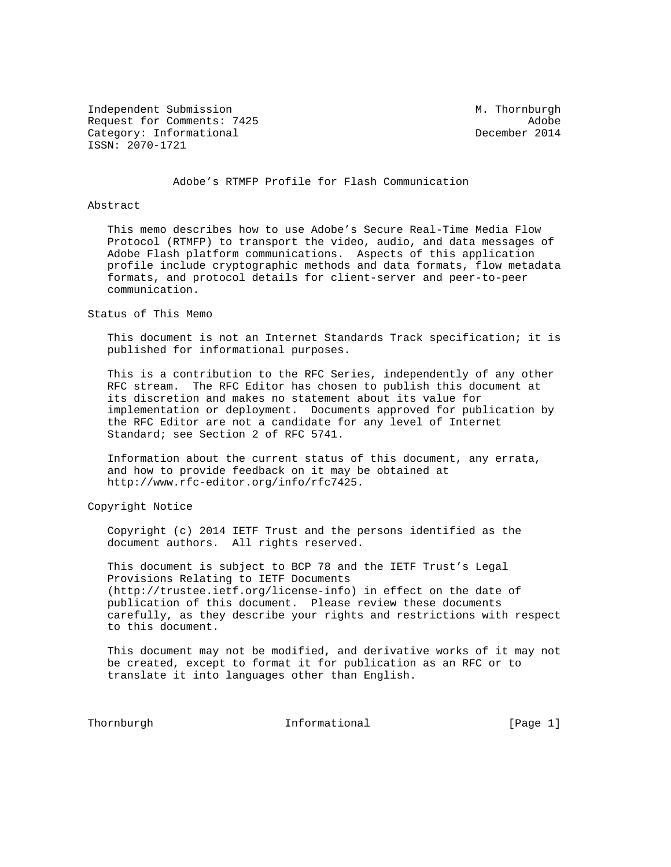Independent Submission M. Thornburgh Request for Comments: 7425 Adobe Category: Informational December 2014 ISSN: 2070-1721

Adobe's RTMFP Profile for Flash Communication

#### Abstract

 This memo describes how to use Adobe's Secure Real-Time Media Flow Protocol (RTMFP) to transport the video, audio, and data messages of Adobe Flash platform communications. Aspects of this application profile include cryptographic methods and data formats, flow metadata formats, and protocol details for client-server and peer-to-peer communication.

Status of This Memo

 This document is not an Internet Standards Track specification; it is published for informational purposes.

 This is a contribution to the RFC Series, independently of any other RFC stream. The RFC Editor has chosen to publish this document at its discretion and makes no statement about its value for implementation or deployment. Documents approved for publication by the RFC Editor are not a candidate for any level of Internet Standard; see Section 2 of RFC 5741.

 Information about the current status of this document, any errata, and how to provide feedback on it may be obtained at http://www.rfc-editor.org/info/rfc7425.

Copyright Notice

 Copyright (c) 2014 IETF Trust and the persons identified as the document authors. All rights reserved.

 This document is subject to BCP 78 and the IETF Trust's Legal Provisions Relating to IETF Documents (http://trustee.ietf.org/license-info) in effect on the date of publication of this document. Please review these documents carefully, as they describe your rights and restrictions with respect to this document.

 This document may not be modified, and derivative works of it may not be created, except to format it for publication as an RFC or to translate it into languages other than English.

Thornburgh 111 Informational 111 [Page 1]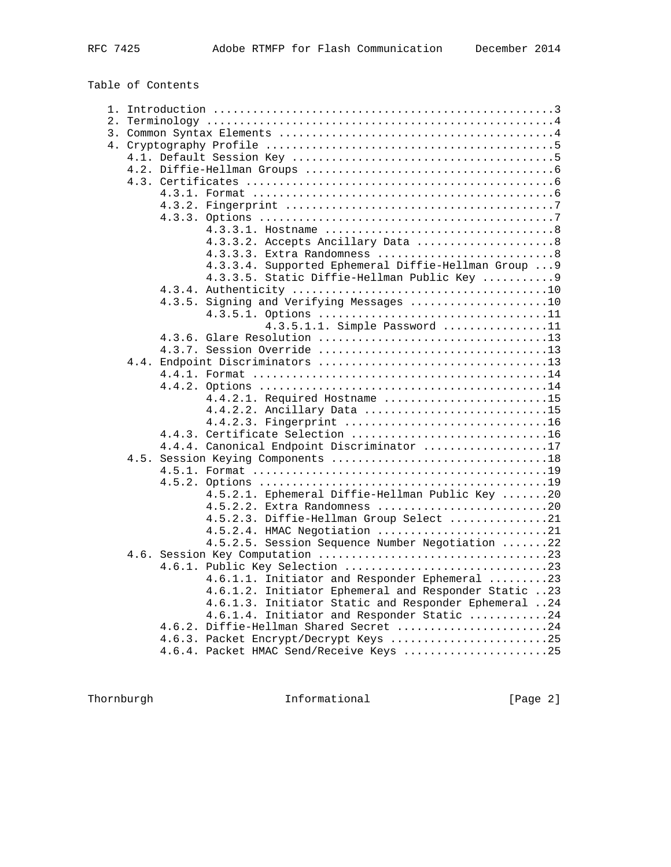Table of Contents

|  |  | 4.3.3.2. Accepts Ancillary Data 8                    |  |  |  |  |  |  |
|--|--|------------------------------------------------------|--|--|--|--|--|--|
|  |  | 4.3.3.3. Extra Randomness 8                          |  |  |  |  |  |  |
|  |  | 4.3.3.4. Supported Ephemeral Diffie-Hellman Group  9 |  |  |  |  |  |  |
|  |  | 4.3.3.5. Static Diffie-Hellman Public Key  9         |  |  |  |  |  |  |
|  |  |                                                      |  |  |  |  |  |  |
|  |  | 4.3.5. Signing and Verifying Messages 10             |  |  |  |  |  |  |
|  |  |                                                      |  |  |  |  |  |  |
|  |  | 4.3.5.1.1. Simple Password 11                        |  |  |  |  |  |  |
|  |  |                                                      |  |  |  |  |  |  |
|  |  |                                                      |  |  |  |  |  |  |
|  |  |                                                      |  |  |  |  |  |  |
|  |  |                                                      |  |  |  |  |  |  |
|  |  |                                                      |  |  |  |  |  |  |
|  |  | 4.4.2.1. Required Hostname 15                        |  |  |  |  |  |  |
|  |  | 4.4.2.2. Ancillary Data 15                           |  |  |  |  |  |  |
|  |  | 4.4.2.3. Fingerprint 16                              |  |  |  |  |  |  |
|  |  | 4.4.3. Certificate Selection 16                      |  |  |  |  |  |  |
|  |  | 4.4.4. Canonical Endpoint Discriminator 17           |  |  |  |  |  |  |
|  |  |                                                      |  |  |  |  |  |  |
|  |  |                                                      |  |  |  |  |  |  |
|  |  |                                                      |  |  |  |  |  |  |
|  |  | 4.5.2.1. Ephemeral Diffie-Hellman Public Key 20      |  |  |  |  |  |  |
|  |  | 4.5.2.2. Extra Randomness 20                         |  |  |  |  |  |  |
|  |  | 4.5.2.3. Diffie-Hellman Group Select 21              |  |  |  |  |  |  |
|  |  | 4.5.2.4. HMAC Negotiation 21                         |  |  |  |  |  |  |
|  |  | 4.5.2.5. Session Sequence Number Negotiation 22      |  |  |  |  |  |  |
|  |  |                                                      |  |  |  |  |  |  |
|  |  |                                                      |  |  |  |  |  |  |
|  |  | 4.6.1.1. Initiator and Responder Ephemeral 23        |  |  |  |  |  |  |
|  |  | 4.6.1.2. Initiator Ephemeral and Responder Static 23 |  |  |  |  |  |  |
|  |  | 4.6.1.3. Initiator Static and Responder Ephemeral 24 |  |  |  |  |  |  |
|  |  | 4.6.1.4. Initiator and Responder Static 24           |  |  |  |  |  |  |
|  |  | 4.6.2. Diffie-Hellman Shared Secret 24               |  |  |  |  |  |  |
|  |  | 4.6.3. Packet Encrypt/Decrypt Keys 25                |  |  |  |  |  |  |
|  |  | 4.6.4. Packet HMAC Send/Receive Keys 25              |  |  |  |  |  |  |

Thornburgh 1nformational [Page 2]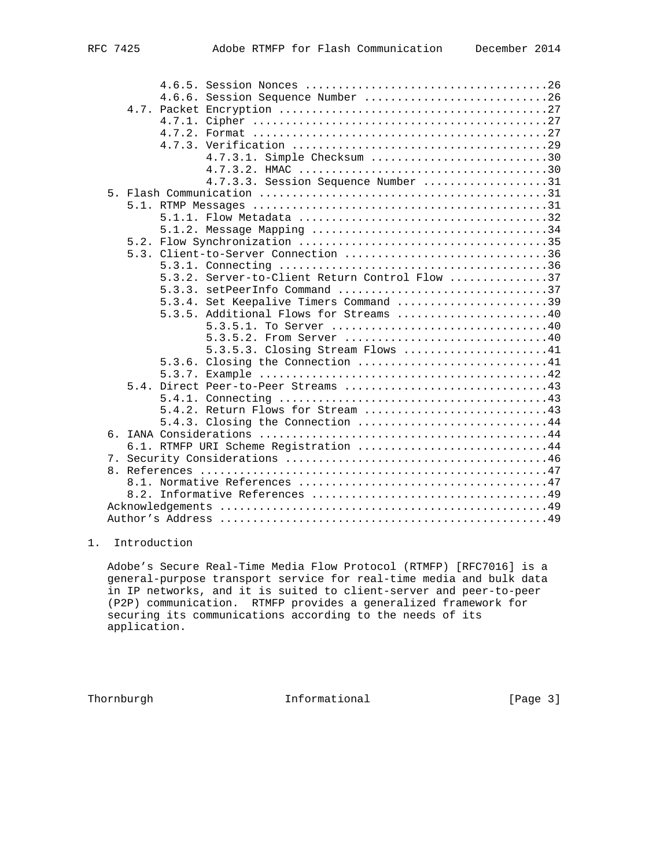|                | 4.6.6. Session Sequence Number 26              |
|----------------|------------------------------------------------|
|                |                                                |
|                |                                                |
|                |                                                |
|                |                                                |
|                | 4.7.3.1. Simple Checksum 30                    |
|                |                                                |
|                | 4.7.3.3. Session Sequence Number 31            |
|                |                                                |
|                |                                                |
|                |                                                |
|                |                                                |
|                |                                                |
|                | 5.3. Client-to-Server Connection 36            |
|                |                                                |
|                | 5.3.2. Server-to-Client Return Control Flow 37 |
|                | 5.3.3. setPeerInfo Command 37                  |
|                | Set Keepalive Timers Command 39<br>5.3.4.      |
|                | 5.3.5. Additional Flows for Streams 40         |
|                |                                                |
|                | 5.3.5.2. From Server 40                        |
|                | 5.3.5.3. Closing Stream Flows 41               |
|                | 5.3.6. Closing the Connection 41               |
|                |                                                |
|                |                                                |
|                |                                                |
|                |                                                |
|                | 5.4.3. Closing the Connection 44               |
|                |                                                |
|                | 6.1. RTMFP URI Scheme Registration 44          |
| $\overline{7}$ | $[0.9]$                                        |

 7. Security Considerations ........................................46 8. References .....................................................47 8.1. Normative References ......................................47 8.2. Informative References ....................................49 Acknowledgements ..................................................49 Author's Address ..................................................49

# 1. Introduction

 Adobe's Secure Real-Time Media Flow Protocol (RTMFP) [RFC7016] is a general-purpose transport service for real-time media and bulk data in IP networks, and it is suited to client-server and peer-to-peer (P2P) communication. RTMFP provides a generalized framework for securing its communications according to the needs of its application.

Thornburgh **Informational** Informational [Page 3]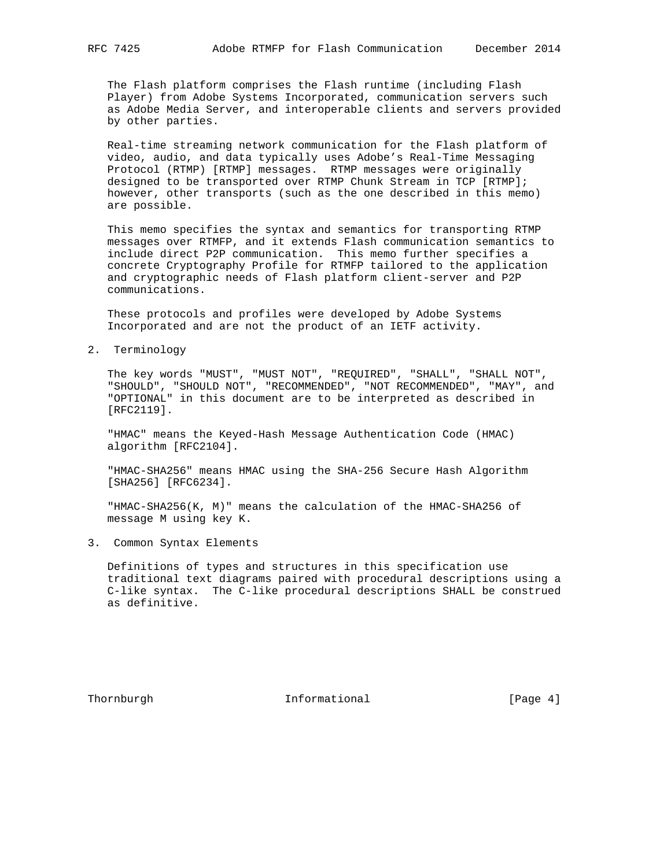The Flash platform comprises the Flash runtime (including Flash Player) from Adobe Systems Incorporated, communication servers such as Adobe Media Server, and interoperable clients and servers provided by other parties.

 Real-time streaming network communication for the Flash platform of video, audio, and data typically uses Adobe's Real-Time Messaging Protocol (RTMP) [RTMP] messages. RTMP messages were originally designed to be transported over RTMP Chunk Stream in TCP [RTMP]; however, other transports (such as the one described in this memo) are possible.

 This memo specifies the syntax and semantics for transporting RTMP messages over RTMFP, and it extends Flash communication semantics to include direct P2P communication. This memo further specifies a concrete Cryptography Profile for RTMFP tailored to the application and cryptographic needs of Flash platform client-server and P2P communications.

 These protocols and profiles were developed by Adobe Systems Incorporated and are not the product of an IETF activity.

2. Terminology

 The key words "MUST", "MUST NOT", "REQUIRED", "SHALL", "SHALL NOT", "SHOULD", "SHOULD NOT", "RECOMMENDED", "NOT RECOMMENDED", "MAY", and "OPTIONAL" in this document are to be interpreted as described in [RFC2119].

 "HMAC" means the Keyed-Hash Message Authentication Code (HMAC) algorithm [RFC2104].

 "HMAC-SHA256" means HMAC using the SHA-256 Secure Hash Algorithm [SHA256] [RFC6234].

 "HMAC-SHA256(K, M)" means the calculation of the HMAC-SHA256 of message M using key K.

3. Common Syntax Elements

 Definitions of types and structures in this specification use traditional text diagrams paired with procedural descriptions using a C-like syntax. The C-like procedural descriptions SHALL be construed as definitive.

Thornburgh 10 Informational 11 [Page 4]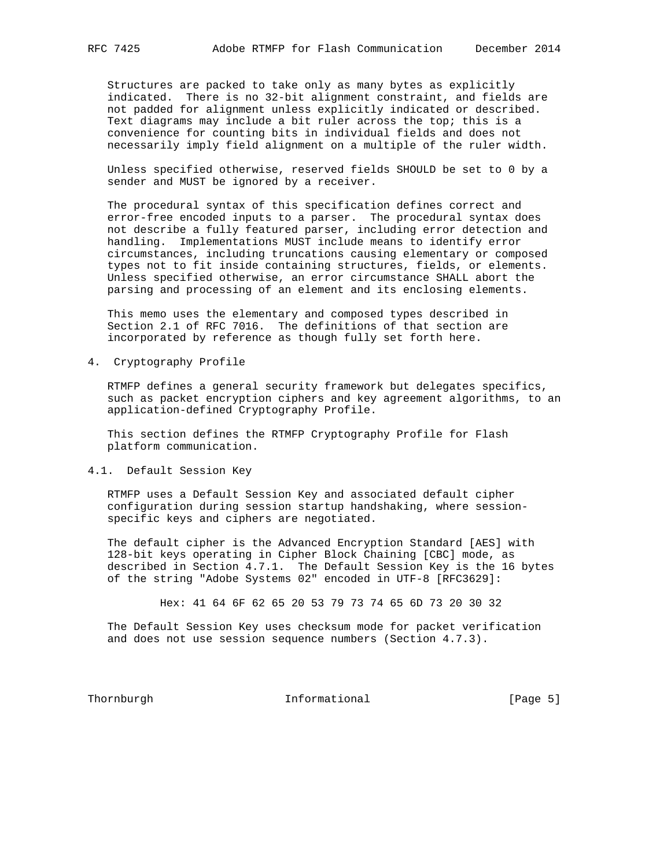Structures are packed to take only as many bytes as explicitly indicated. There is no 32-bit alignment constraint, and fields are not padded for alignment unless explicitly indicated or described. Text diagrams may include a bit ruler across the top; this is a convenience for counting bits in individual fields and does not necessarily imply field alignment on a multiple of the ruler width.

 Unless specified otherwise, reserved fields SHOULD be set to 0 by a sender and MUST be ignored by a receiver.

 The procedural syntax of this specification defines correct and error-free encoded inputs to a parser. The procedural syntax does not describe a fully featured parser, including error detection and handling. Implementations MUST include means to identify error circumstances, including truncations causing elementary or composed types not to fit inside containing structures, fields, or elements. Unless specified otherwise, an error circumstance SHALL abort the parsing and processing of an element and its enclosing elements.

 This memo uses the elementary and composed types described in Section 2.1 of RFC 7016. The definitions of that section are incorporated by reference as though fully set forth here.

4. Cryptography Profile

 RTMFP defines a general security framework but delegates specifics, such as packet encryption ciphers and key agreement algorithms, to an application-defined Cryptography Profile.

 This section defines the RTMFP Cryptography Profile for Flash platform communication.

## 4.1. Default Session Key

 RTMFP uses a Default Session Key and associated default cipher configuration during session startup handshaking, where session specific keys and ciphers are negotiated.

 The default cipher is the Advanced Encryption Standard [AES] with 128-bit keys operating in Cipher Block Chaining [CBC] mode, as described in Section 4.7.1. The Default Session Key is the 16 bytes of the string "Adobe Systems 02" encoded in UTF-8 [RFC3629]:

Hex: 41 64 6F 62 65 20 53 79 73 74 65 6D 73 20 30 32

 The Default Session Key uses checksum mode for packet verification and does not use session sequence numbers (Section 4.7.3).

Thornburgh 10 Informational 11 (Page 5)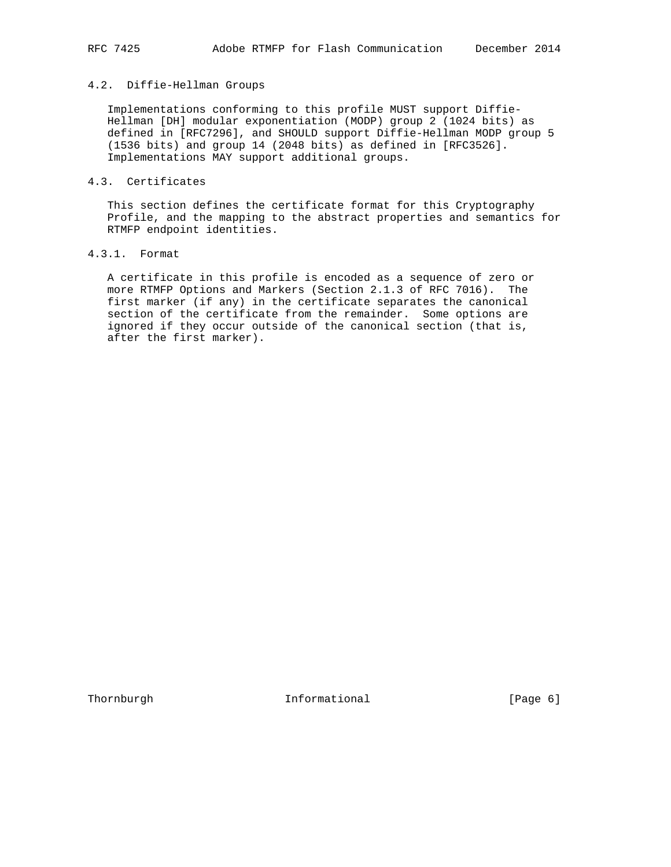## 4.2. Diffie-Hellman Groups

 Implementations conforming to this profile MUST support Diffie- Hellman [DH] modular exponentiation (MODP) group 2 (1024 bits) as defined in [RFC7296], and SHOULD support Diffie-Hellman MODP group 5 (1536 bits) and group 14 (2048 bits) as defined in [RFC3526]. Implementations MAY support additional groups.

#### 4.3. Certificates

 This section defines the certificate format for this Cryptography Profile, and the mapping to the abstract properties and semantics for RTMFP endpoint identities.

# 4.3.1. Format

 A certificate in this profile is encoded as a sequence of zero or more RTMFP Options and Markers (Section 2.1.3 of RFC 7016). The first marker (if any) in the certificate separates the canonical section of the certificate from the remainder. Some options are ignored if they occur outside of the canonical section (that is, after the first marker).

Thornburgh 1nformational [Page 6]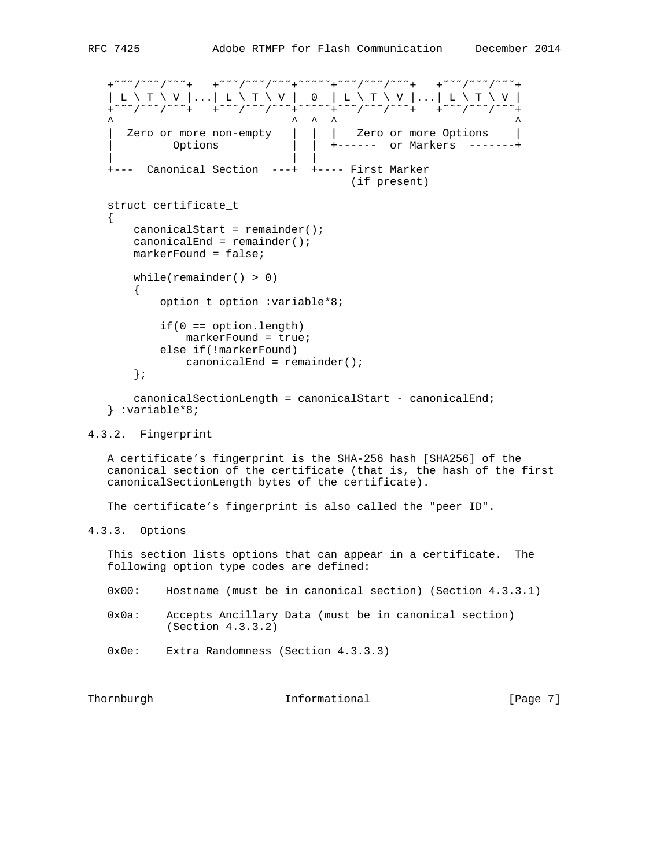```
 +˜˜˜/˜˜˜/˜˜˜+ +˜˜˜/˜˜˜/˜˜˜+˜˜˜˜˜+˜˜˜/˜˜˜/˜˜˜+ +˜˜˜/˜˜˜/˜˜˜+
 | L \ T \ V |...| L \ T \ V | 0 | L \ T \ V |...| L \ T \ V |
 +˜˜˜/˜˜˜/˜˜˜+ +˜˜˜/˜˜˜/˜˜˜+˜˜˜˜˜+˜˜˜/˜˜˜/˜˜˜+ +˜˜˜/˜˜˜/˜˜˜+
\wedge \wedge \wedge \wedge \wedge \wedge \wedge \wedge \wedge \wedge \wedge \wedge \wedge \wedge \wedge \wedge \wedge \wedge \wedge \wedge \wedge \wedge \wedge \wedge \wedge \wedge \wedge \wedge \wedge \wedge \wedge \wedge \wedge \wedge \wedge \wedge \wedge | Zero or more non-empty | | | Zero or more Options |
 | Options | | +------ or Markers -------+
       | | |
    +--- Canonical Section ---+ +---- First Marker
                                              (if present)
    struct certificate_t
 {
        canonicalStart = remainder();
       canonicalEnd = remainder();
        markerFound = false;
       while(remainder() > 0)
       \{ option_t option :variable*8;
            if(0 == option.length) markerFound = true;
             else if(!markerFound)
                 canonicalEnd = remainder();
        };
        canonicalSectionLength = canonicalStart - canonicalEnd;
    } :variable*8;
```
## 4.3.2. Fingerprint

 A certificate's fingerprint is the SHA-256 hash [SHA256] of the canonical section of the certificate (that is, the hash of the first canonicalSectionLength bytes of the certificate).

The certificate's fingerprint is also called the "peer ID".

```
4.3.3. Options
```
 This section lists options that can appear in a certificate. The following option type codes are defined:

- 0x00: Hostname (must be in canonical section) (Section 4.3.3.1)
- 0x0a: Accepts Ancillary Data (must be in canonical section) (Section 4.3.3.2)
- 0x0e: Extra Randomness (Section 4.3.3.3)

| Thornburgh | Informational | [Page 7] |
|------------|---------------|----------|
|------------|---------------|----------|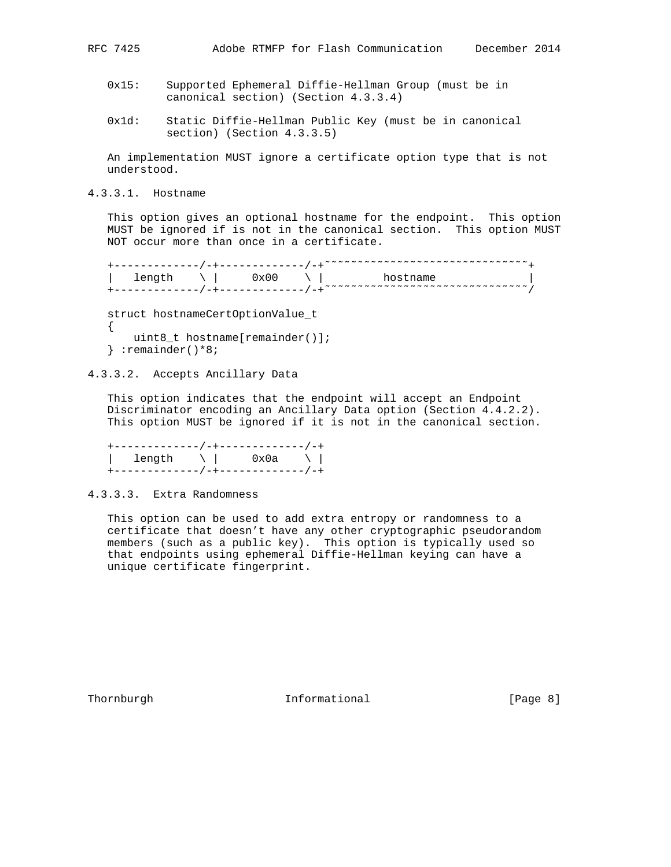- 0x15: Supported Ephemeral Diffie-Hellman Group (must be in canonical section) (Section 4.3.3.4)
- 0x1d: Static Diffie-Hellman Public Key (must be in canonical section) (Section 4.3.3.5)

 An implementation MUST ignore a certificate option type that is not understood.

4.3.3.1. Hostname

 This option gives an optional hostname for the endpoint. This option MUST be ignored if is not in the canonical section. This option MUST NOT occur more than once in a certificate.

+------------/-+-----------/-+<sup>~~~~~~</sup>~~~~~~~~~~~~~~~~~~~~~~<sub>+</sub>  $\vert$  length  $\setminus$   $\vert$  0x00  $\setminus$   $\vert$  hostname  $\vert$ +------------/-+-----------/-+<sup>~~~~~~</sup>~~~~~~~~~~~~~~~~~~~~~~~~~

 struct hostnameCertOptionValue\_t { uint8\_t hostname[remainder()]; } :remainder()\*8;

4.3.3.2. Accepts Ancillary Data

 This option indicates that the endpoint will accept an Endpoint Discriminator encoding an Ancillary Data option (Section 4.4.2.2). This option MUST be ignored if it is not in the canonical section.

 +-------------/-+-------------/-+ | length \ | 0x0a \ | +-------------/-+-------------/-+

4.3.3.3. Extra Randomness

 This option can be used to add extra entropy or randomness to a certificate that doesn't have any other cryptographic pseudorandom members (such as a public key). This option is typically used so that endpoints using ephemeral Diffie-Hellman keying can have a unique certificate fingerprint.

Thornburgh 10 Informational 11 [Page 8]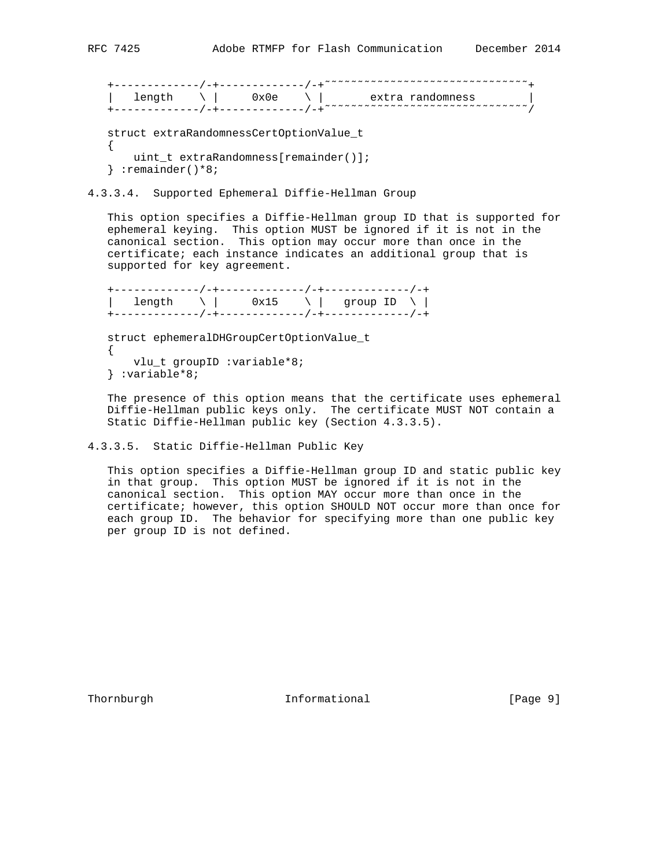+-------------/-+-------------/-+˜˜˜˜˜˜˜˜˜˜˜˜˜˜˜˜˜˜˜˜˜˜˜˜˜˜˜˜˜˜˜+  $\vert$  length  $\setminus$   $\vert$  0x0e  $\setminus$   $\vert$  extra randomness  $\vert$ +------------/-+-----------/-+<sup>~~~~~~</sup>~~~~~~~~~~~~~~~~~~~~~~~~~

```
 struct extraRandomnessCertOptionValue_t
\left\{ \right. uint_t extraRandomness[remainder()];
 } :remainder()*8;
```
#### 4.3.3.4. Supported Ephemeral Diffie-Hellman Group

 This option specifies a Diffie-Hellman group ID that is supported for ephemeral keying. This option MUST be ignored if it is not in the canonical section. This option may occur more than once in the certificate; each instance indicates an additional group that is supported for key agreement.

 +-------------/-+-------------/-+-------------/-+ | length  $\setminus$  | 0x15  $\setminus$  | group ID  $\setminus$  | +-------------/-+-------------/-+-------------/-+

 struct ephemeralDHGroupCertOptionValue\_t { vlu\_t groupID :variable\*8; } :variable\*8;

 The presence of this option means that the certificate uses ephemeral Diffie-Hellman public keys only. The certificate MUST NOT contain a Static Diffie-Hellman public key (Section 4.3.3.5).

```
4.3.3.5. Static Diffie-Hellman Public Key
```
 This option specifies a Diffie-Hellman group ID and static public key in that group. This option MUST be ignored if it is not in the canonical section. This option MAY occur more than once in the certificate; however, this option SHOULD NOT occur more than once for each group ID. The behavior for specifying more than one public key per group ID is not defined.

Thornburgh 10 Informational 11 Page 9]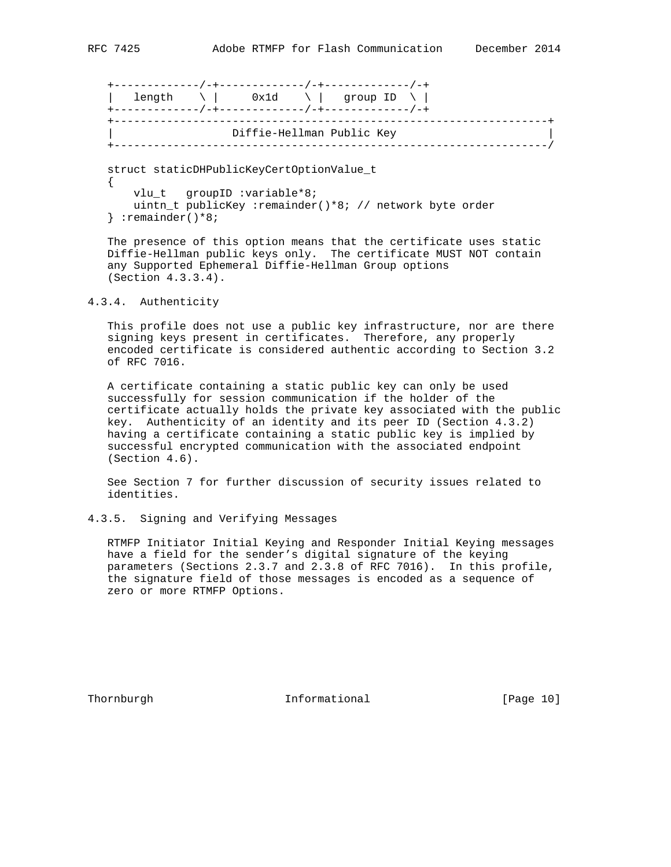+-------------/-+-------------/-+-------------/-+ | length  $\setminus$  | 0x1d  $\setminus$  | group ID  $\setminus$  | +-------------/-+-------------/-+-------------/-+ +------------------------------------------------------------------+ | Diffie-Hellman Public Key | +------------------------------------------------------------------/

 struct staticDHPublicKeyCertOptionValue\_t { vlu\_t groupID :variable\*8;

 uintn\_t publicKey :remainder()\*8; // network byte order } :remainder()\*8;

 The presence of this option means that the certificate uses static Diffie-Hellman public keys only. The certificate MUST NOT contain any Supported Ephemeral Diffie-Hellman Group options (Section 4.3.3.4).

## 4.3.4. Authenticity

 This profile does not use a public key infrastructure, nor are there signing keys present in certificates. Therefore, any properly encoded certificate is considered authentic according to Section 3.2 of RFC 7016.

 A certificate containing a static public key can only be used successfully for session communication if the holder of the certificate actually holds the private key associated with the public key. Authenticity of an identity and its peer ID (Section 4.3.2) having a certificate containing a static public key is implied by successful encrypted communication with the associated endpoint (Section 4.6).

 See Section 7 for further discussion of security issues related to identities.

## 4.3.5. Signing and Verifying Messages

 RTMFP Initiator Initial Keying and Responder Initial Keying messages have a field for the sender's digital signature of the keying parameters (Sections 2.3.7 and 2.3.8 of RFC 7016). In this profile, the signature field of those messages is encoded as a sequence of zero or more RTMFP Options.

Thornburgh 10 Informational [Page 10]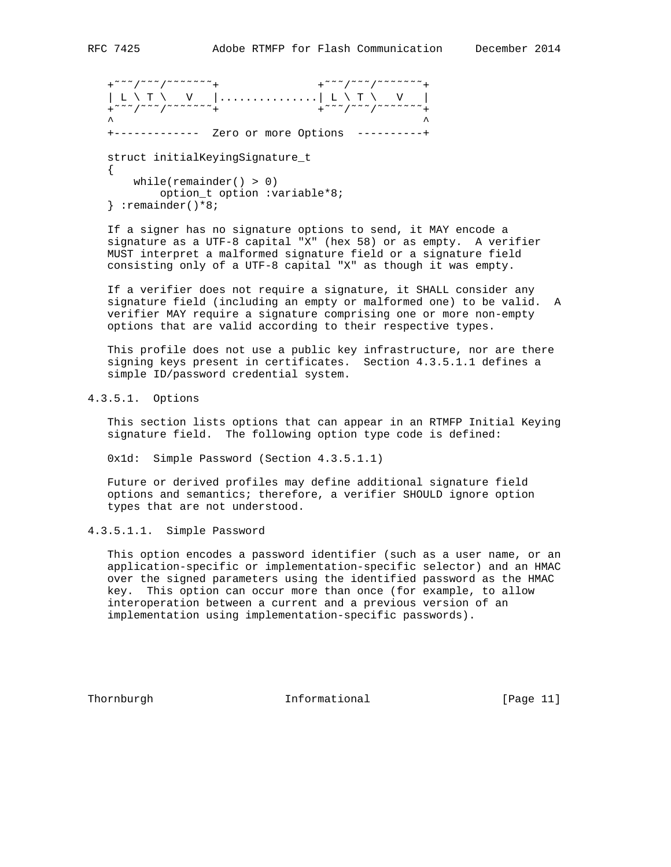$\left\{ \right.$ while(remainder()  $> 0$ ) option t option :variable\*8; } :remainder()\*8;

 If a signer has no signature options to send, it MAY encode a signature as a UTF-8 capital "X" (hex 58) or as empty. A verifier MUST interpret a malformed signature field or a signature field consisting only of a UTF-8 capital "X" as though it was empty.

 If a verifier does not require a signature, it SHALL consider any signature field (including an empty or malformed one) to be valid. A verifier MAY require a signature comprising one or more non-empty options that are valid according to their respective types.

 This profile does not use a public key infrastructure, nor are there signing keys present in certificates. Section 4.3.5.1.1 defines a simple ID/password credential system.

4.3.5.1. Options

 This section lists options that can appear in an RTMFP Initial Keying signature field. The following option type code is defined:

0x1d: Simple Password (Section 4.3.5.1.1)

 Future or derived profiles may define additional signature field options and semantics; therefore, a verifier SHOULD ignore option types that are not understood.

4.3.5.1.1. Simple Password

 This option encodes a password identifier (such as a user name, or an application-specific or implementation-specific selector) and an HMAC over the signed parameters using the identified password as the HMAC key. This option can occur more than once (for example, to allow interoperation between a current and a previous version of an implementation using implementation-specific passwords).

Thornburgh 10 Informational [Page 11]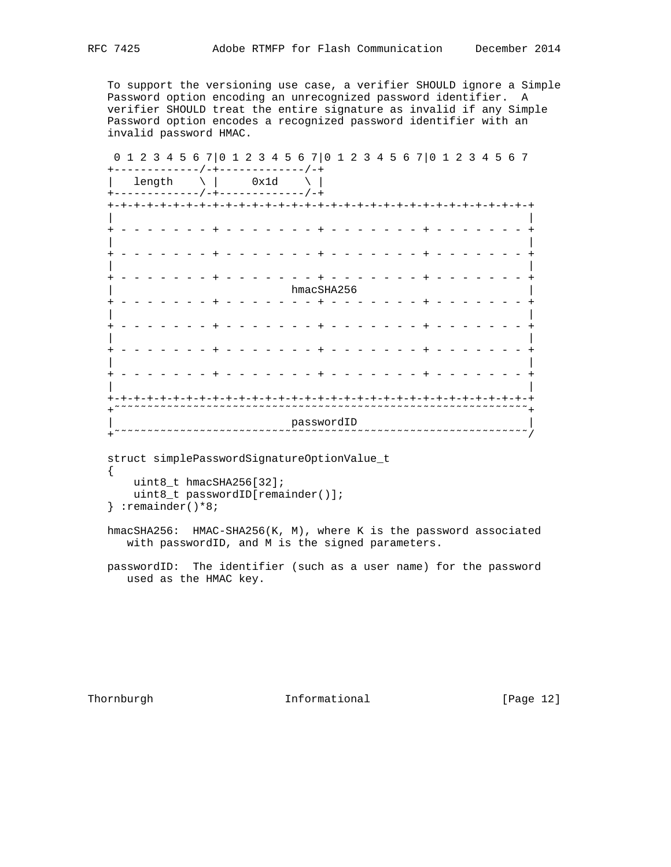To support the versioning use case, a verifier SHOULD ignore a Simple Password option encoding an unrecognized password identifier. A verifier SHOULD treat the entire signature as invalid if any Simple Password option encodes a recognized password identifier with an invalid password HMAC.

 0 1 2 3 4 5 6 7|0 1 2 3 4 5 6 7|0 1 2 3 4 5 6 7|0 1 2 3 4 5 6 7 +-------------/-+-------------/-+  $\vert$  length  $\setminus$  | 0x1d  $\setminus$  | +-------------/-+-------------/-+ +-+-+-+-+-+-+-+-+-+-+-+-+-+-+-+-+-+-+-+-+-+-+-+-+-+-+-+-+-+-+-+-+ | | + - - - - - - - + - - - - - - - + - - - - - - - + - - - - - - - + | | + - - - - - - - + - - - - - - - + - - - - - - - + - - - - - - - + | | + - - - - - - - + - - - - - - - + - - - - - - - + - - - - - - - + | hmacSHA256 | + - - - - - - - + - - - - - - - + - - - - - - - + - - - - - - - + | | + - - - - - - - + - - - - - - - + - - - - - - - + - - - - - - - + | | + - - - - - - - + - - - - - - - + - - - - - - - + - - - - - - - + | | + - - - - - - - + - - - - - - - + - - - - - - - + - - - - - - - + | | +-+-+-+-+-+-+-+-+-+-+-+-+-+-+-+-+-+-+-+-+-+-+-+-+-+-+-+-+-+-+-+-+ +˜˜˜˜˜˜˜˜˜˜˜˜˜˜˜˜˜˜˜˜˜˜˜˜˜˜˜˜˜˜˜˜˜˜˜˜˜˜˜˜˜˜˜˜˜˜˜˜˜˜˜˜˜˜˜˜˜˜˜˜˜˜˜+ | passwordID | +˜˜˜˜˜˜˜˜˜˜˜˜˜˜˜˜˜˜˜˜˜˜˜˜˜˜˜˜˜˜˜˜˜˜˜˜˜˜˜˜˜˜˜˜˜˜˜˜˜˜˜˜˜˜˜˜˜˜˜˜˜˜˜/

 struct simplePasswordSignatureOptionValue\_t { uint8 t hmacSHA256[32]; uint8\_t passwordID[remainder()];

} :remainder()\*8;

 hmacSHA256: HMAC-SHA256(K, M), where K is the password associated with passwordID, and M is the signed parameters.

 passwordID: The identifier (such as a user name) for the password used as the HMAC key.

Thornburgh 10 Informational 10 Informational [Page 12]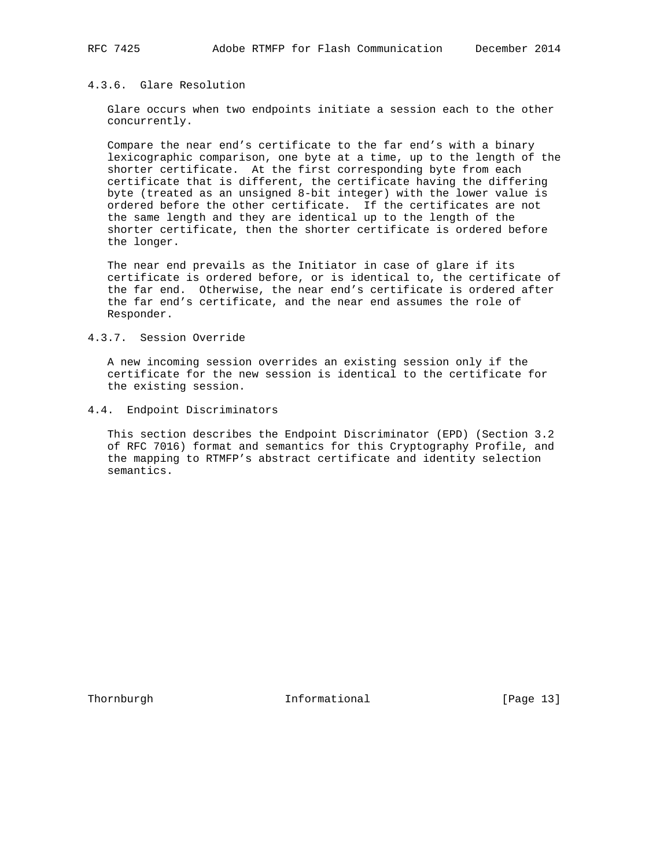## 4.3.6. Glare Resolution

 Glare occurs when two endpoints initiate a session each to the other concurrently.

 Compare the near end's certificate to the far end's with a binary lexicographic comparison, one byte at a time, up to the length of the shorter certificate. At the first corresponding byte from each certificate that is different, the certificate having the differing byte (treated as an unsigned 8-bit integer) with the lower value is ordered before the other certificate. If the certificates are not the same length and they are identical up to the length of the shorter certificate, then the shorter certificate is ordered before the longer.

 The near end prevails as the Initiator in case of glare if its certificate is ordered before, or is identical to, the certificate of the far end. Otherwise, the near end's certificate is ordered after the far end's certificate, and the near end assumes the role of Responder.

#### 4.3.7. Session Override

 A new incoming session overrides an existing session only if the certificate for the new session is identical to the certificate for the existing session.

4.4. Endpoint Discriminators

 This section describes the Endpoint Discriminator (EPD) (Section 3.2 of RFC 7016) format and semantics for this Cryptography Profile, and the mapping to RTMFP's abstract certificate and identity selection semantics.

Thornburgh 10 Informational [Page 13]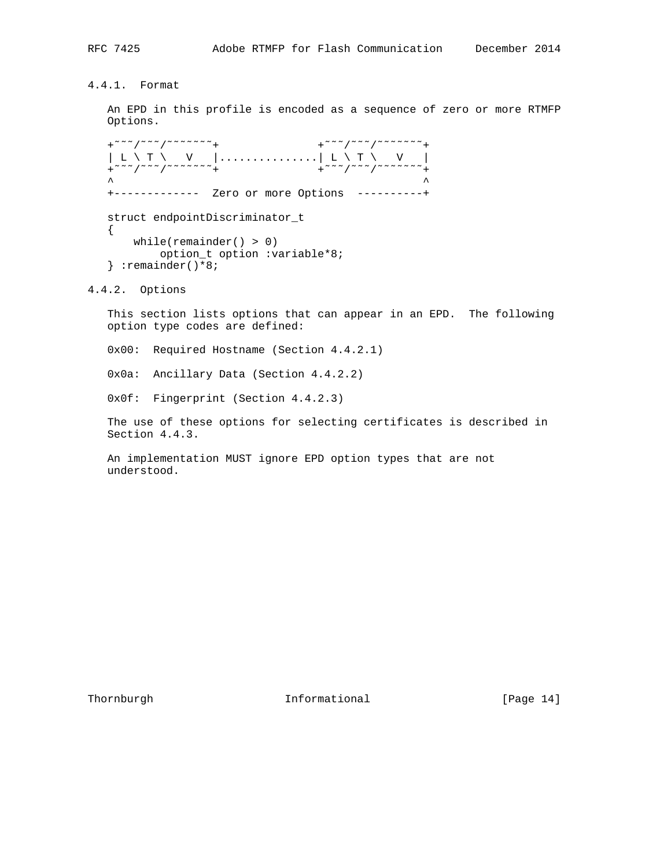# 4.4.1. Format

 An EPD in this profile is encoded as a sequence of zero or more RTMFP Options.

+~~~/~~~/~~~~~~+ +~~~/~~~/~~~~~~+ | L \ T \ V |...............| L \ T \ V | +~~~/~~~/~~~~~~+ +~~~/~~~/~~~~~~+  $\lambda$   $\lambda$  +------------- Zero or more Options ----------+ struct endpointDiscriminator\_t { while(remainder() > 0) option\_t option :variable\*8; } :remainder()\*8;

4.4.2. Options

 This section lists options that can appear in an EPD. The following option type codes are defined:

0x00: Required Hostname (Section 4.4.2.1)

0x0a: Ancillary Data (Section 4.4.2.2)

0x0f: Fingerprint (Section 4.4.2.3)

 The use of these options for selecting certificates is described in Section 4.4.3.

 An implementation MUST ignore EPD option types that are not understood.

Thornburgh 10 Informational [Page 14]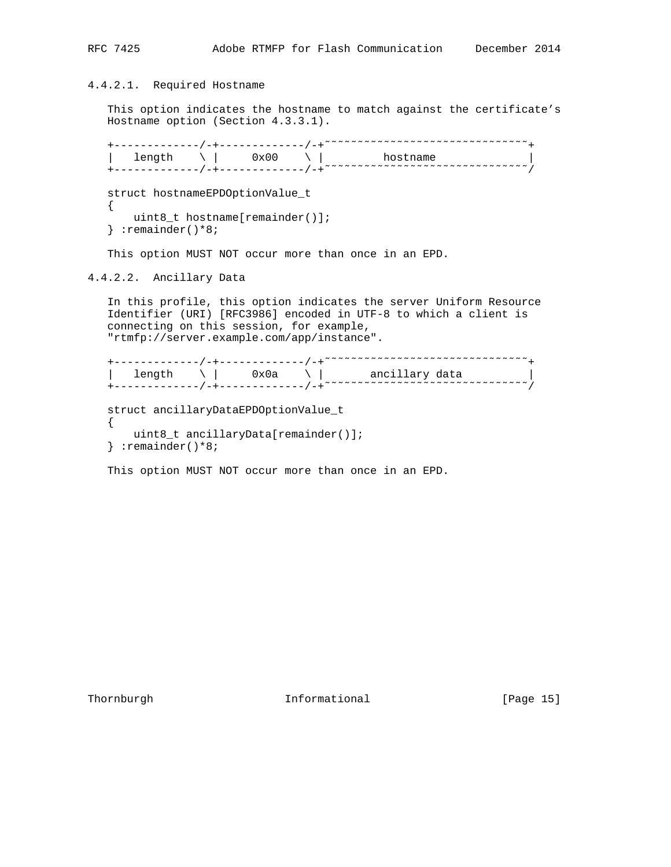# 4.4.2.1. Required Hostname

 This option indicates the hostname to match against the certificate's Hostname option (Section 4.3.3.1).

+------------/-+-----------/-+<sup>~</sup>~~~~~~~~~~~~~~~~~~~~~~~~~~~<sub>+</sub>  $\vert$  length  $\setminus$   $\vert$  0x00  $\setminus$   $\vert$  hostname  $\vert$ +------------/-+------------/-+<sup>~~~~~</sup>~~~~~~~~~~~~~~~~~~~~~~~~~~~ struct hostnameEPDOptionValue\_t { uint8\_t hostname[remainder()]; } :remainder()\*8;

This option MUST NOT occur more than once in an EPD.

4.4.2.2. Ancillary Data

 In this profile, this option indicates the server Uniform Resource Identifier (URI) [RFC3986] encoded in UTF-8 to which a client is connecting on this session, for example, "rtmfp://server.example.com/app/instance".

```
 +-------------/-+-------------/-+˜˜˜˜˜˜˜˜˜˜˜˜˜˜˜˜˜˜˜˜˜˜˜˜˜˜˜˜˜˜˜+
\vert length \setminus \vert 0x0a \setminus ancillary data \vert+------------/-+------------/-+<sup>~~~~~</sup>~~~~~~~~~~~~~~~~~~~~~~~~~~~
    struct ancillaryDataEPDOptionValue_t
   \left\{ \right.
```

```
 uint8_t ancillaryData[remainder()];
 } :remainder()*8;
```
This option MUST NOT occur more than once in an EPD.

Thornburgh 10 Informational [Page 15]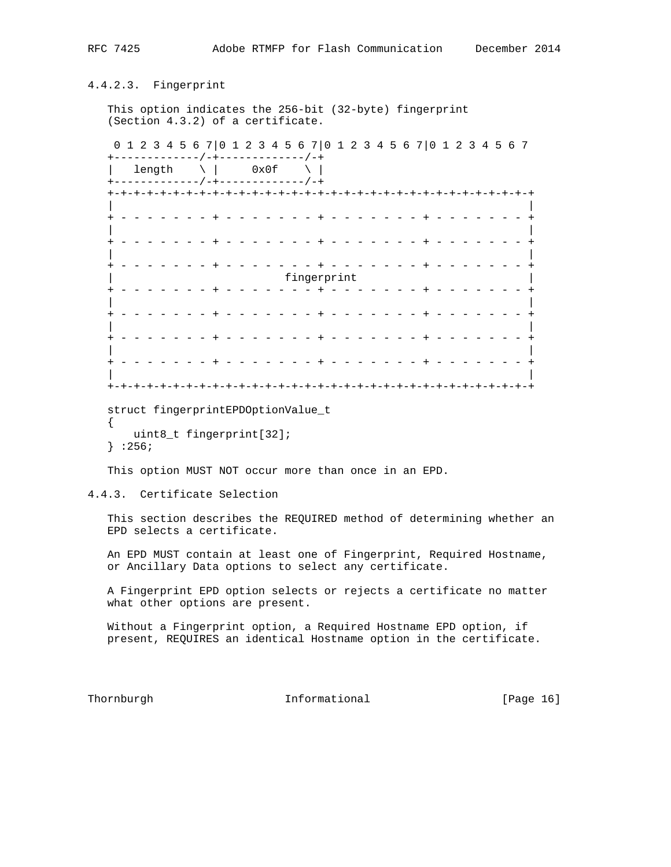# 4.4.2.3. Fingerprint

 This option indicates the 256-bit (32-byte) fingerprint (Section 4.3.2) of a certificate.

 0 1 2 3 4 5 6 7|0 1 2 3 4 5 6 7|0 1 2 3 4 5 6 7|0 1 2 3 4 5 6 7 +-------------/-+-------------/-+

| length  $\setminus$  | 0x0f  $\setminus$  | +-------------/-+-------------/-+ +-+-+-+-+-+-+-+-+-+-+-+-+-+-+-+-+-+-+-+-+-+-+-+-+-+-+-+-+-+-+-+-+ | | + - - - - - - - + - - - - - - - + - - - - - - - + - - - - - - - + | | + - - - - - - - + - - - - - - - + - - - - - - - + - - - - - - - + | | + - - - - - - - + - - - - - - - + - - - - - - - + - - - - - - - + | fingerprint | fingerprint | fingerprint | final state | final state | final state | final state | final state | final state | final state | final state | final state | final state | final state | final state | final stat + - - - - - - - + - - - - - - - + - - - - - - - + - - - - - - - + | | + - - - - - - - + - - - - - - - + - - - - - - - + - - - - - - - + | | + - - - - - - - + - - - - - - - + - - - - - - - + - - - - - - - + | | + - - - - - - - + - - - - - - - + - - - - - - - + - - - - - - - + | | +-+-+-+-+-+-+-+-+-+-+-+-+-+-+-+-+-+-+-+-+-+-+-+-+-+-+-+-+-+-+-+-+

```
 struct fingerprintEPDOptionValue_t
```
 { uint8\_t fingerprint[32]; } :256;

This option MUST NOT occur more than once in an EPD.

## 4.4.3. Certificate Selection

 This section describes the REQUIRED method of determining whether an EPD selects a certificate.

 An EPD MUST contain at least one of Fingerprint, Required Hostname, or Ancillary Data options to select any certificate.

 A Fingerprint EPD option selects or rejects a certificate no matter what other options are present.

 Without a Fingerprint option, a Required Hostname EPD option, if present, REQUIRES an identical Hostname option in the certificate.

Thornburgh 10 Informational [Page 16]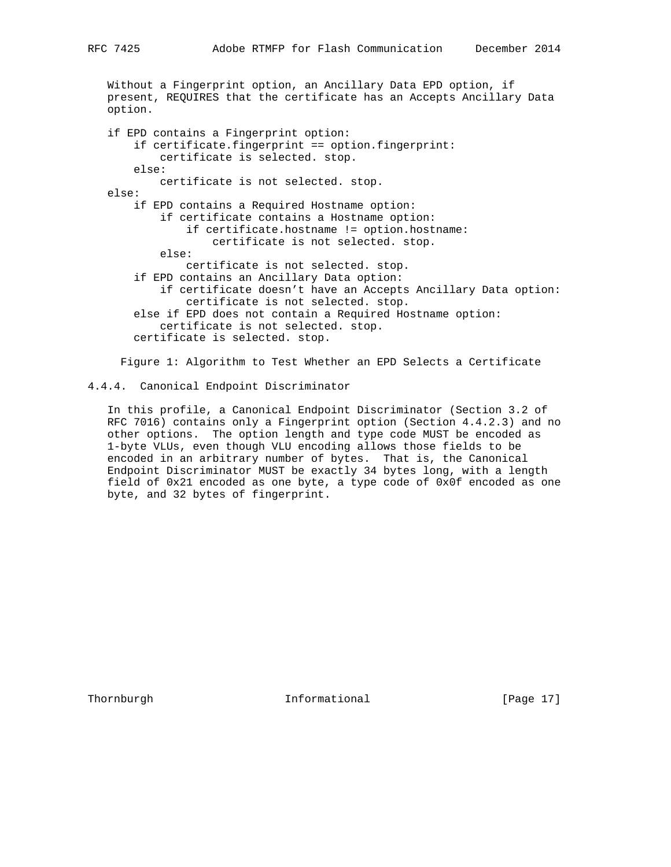Without a Fingerprint option, an Ancillary Data EPD option, if present, REQUIRES that the certificate has an Accepts Ancillary Data option.

 if EPD contains a Fingerprint option: if certificate.fingerprint == option.fingerprint: certificate is selected. stop. else: certificate is not selected. stop. else: if EPD contains a Required Hostname option: if certificate contains a Hostname option: if certificate.hostname != option.hostname: certificate is not selected. stop. else: certificate is not selected. stop. if EPD contains an Ancillary Data option: if certificate doesn't have an Accepts Ancillary Data option: certificate is not selected. stop. else if EPD does not contain a Required Hostname option: certificate is not selected. stop. certificate is selected. stop.

Figure 1: Algorithm to Test Whether an EPD Selects a Certificate

## 4.4.4. Canonical Endpoint Discriminator

 In this profile, a Canonical Endpoint Discriminator (Section 3.2 of RFC 7016) contains only a Fingerprint option (Section 4.4.2.3) and no other options. The option length and type code MUST be encoded as 1-byte VLUs, even though VLU encoding allows those fields to be encoded in an arbitrary number of bytes. That is, the Canonical Endpoint Discriminator MUST be exactly 34 bytes long, with a length field of 0x21 encoded as one byte, a type code of 0x0f encoded as one byte, and 32 bytes of fingerprint.

Thornburgh **Informational** [Page 17]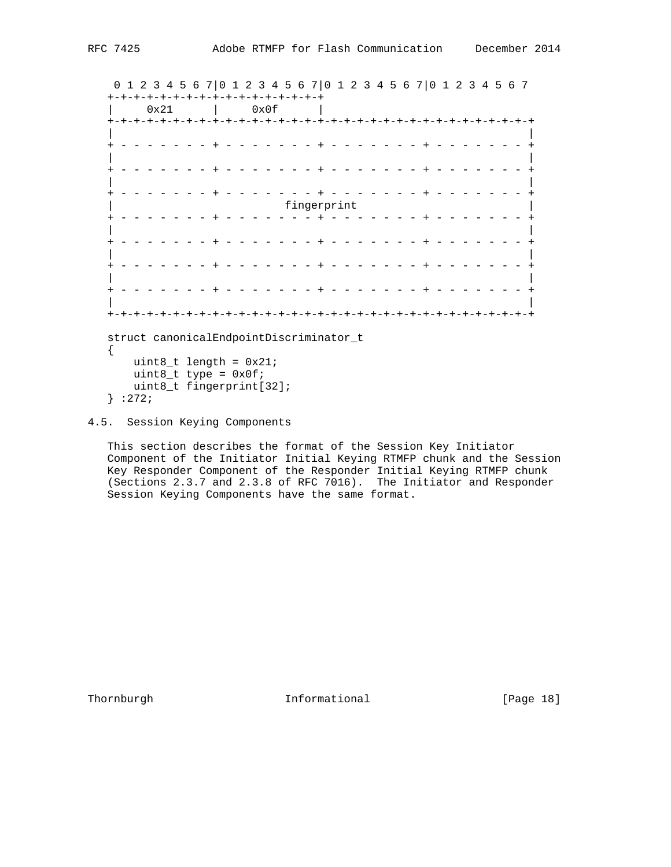0 1 2 3 4 5 6 7|0 1 2 3 4 5 6 7|0 1 2 3 4 5 6 7|0 1 2 3 4 5 6 7 +-+-+-+-+-+-+-+-+-+-+-+-+-+-+-+-+ | 0x21 | 0x0f | +-+-+-+-+-+-+-+-+-+-+-+-+-+-+-+-+-+-+-+-+-+-+-+-+-+-+-+-+-+-+-+-+ | | + - - - - - - - + - - - - - - - + - - - - - - - + - - - - - - - + | | + - - - - - - - + - - - - - - - + - - - - - - - + - - - - - - - + | | + - - - - - - - + - - - - - - - + - - - - - - - + - - - - - - - + fingerprint + - - - - - - - + - - - - - - - + - - - - - - - + - - - - - - - + | | + - - - - - - - + - - - - - - - + - - - - - - - + - - - - - - - + | | + - - - - - - - + - - - - - - - + - - - - - - - + - - - - - - - + | | + - - - - - - - + - - - - - - - + - - - - - - - + - - - - - - - + | | +-+-+-+-+-+-+-+-+-+-+-+-+-+-+-+-+-+-+-+-+-+-+-+-+-+-+-+-+-+-+-+-+ struct canonicalEndpointDiscriminator\_t { uint $8_t$  length =  $0x21$ ; uint $8_t$  type =  $0x0f$ ; uint8\_t fingerprint[32]; } :272;

4.5. Session Keying Components

 This section describes the format of the Session Key Initiator Component of the Initiator Initial Keying RTMFP chunk and the Session Key Responder Component of the Responder Initial Keying RTMFP chunk (Sections 2.3.7 and 2.3.8 of RFC 7016). The Initiator and Responder Session Keying Components have the same format.

Thornburgh 10 Informational [Page 18]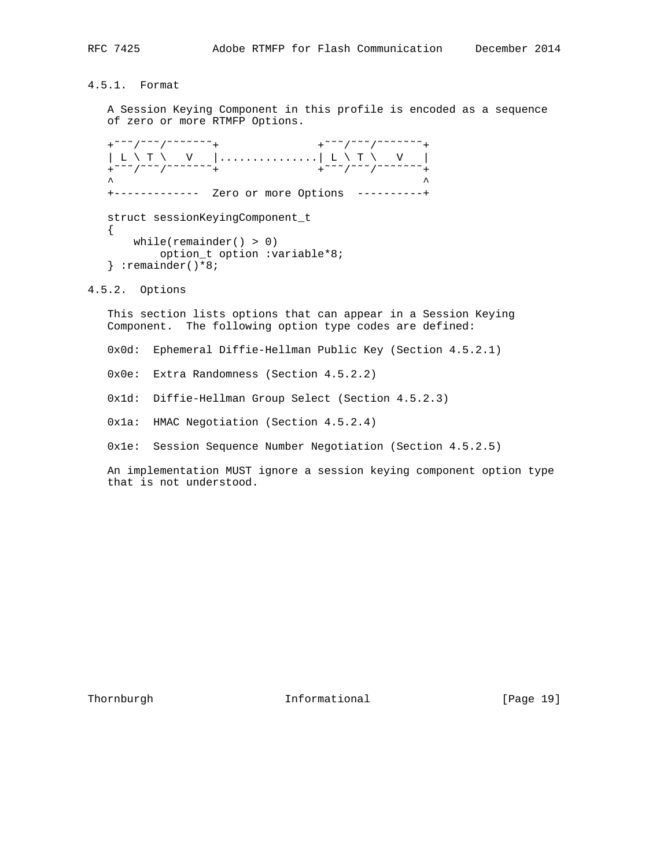4.5.1. Format

 A Session Keying Component in this profile is encoded as a sequence of zero or more RTMFP Options.

+~~~/~~~/~~~~~~+ +~~~/~~~/~~~~~~+ | L \ T \ V |...............| L \ T \ V | +~~~/~~~/~~~~~~+ +~~~/~~~/~~~~~~+  $\lambda$   $\lambda$  +------------- Zero or more Options ----------+ struct sessionKeyingComponent\_t { while(remainder() > 0) option\_t option :variable\*8; } :remainder()\*8;

4.5.2. Options

 This section lists options that can appear in a Session Keying Component. The following option type codes are defined:

0x0d: Ephemeral Diffie-Hellman Public Key (Section 4.5.2.1)

0x0e: Extra Randomness (Section 4.5.2.2)

0x1d: Diffie-Hellman Group Select (Section 4.5.2.3)

0x1a: HMAC Negotiation (Section 4.5.2.4)

0x1e: Session Sequence Number Negotiation (Section 4.5.2.5)

 An implementation MUST ignore a session keying component option type that is not understood.

Thornburgh **Informational** [Page 19]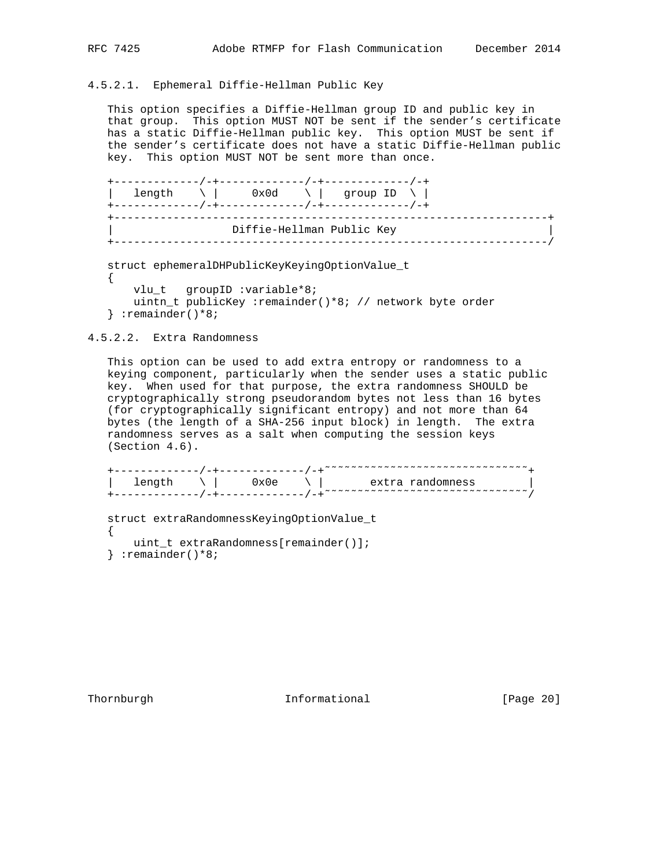# 4.5.2.1. Ephemeral Diffie-Hellman Public Key

 This option specifies a Diffie-Hellman group ID and public key in that group. This option MUST NOT be sent if the sender's certificate has a static Diffie-Hellman public key. This option MUST be sent if the sender's certificate does not have a static Diffie-Hellman public key. This option MUST NOT be sent more than once.

```
 +-------------/-+-------------/-+-------------/-+
| length \setminus | 0x0d \setminus | group ID \setminus |
 +-------------/-+-------------/-+-------------/-+
     +------------------------------------------------------------------+
                    | Diffie-Hellman Public Key |
 +------------------------------------------------------------------/
```

```
 struct ephemeralDHPublicKeyKeyingOptionValue_t
 {
    vlu_t groupID :variable*8;
    uintn_t publicKey :remainder()*8; // network byte order
 } :remainder()*8;
```
## 4.5.2.2. Extra Randomness

 This option can be used to add extra entropy or randomness to a keying component, particularly when the sender uses a static public key. When used for that purpose, the extra randomness SHOULD be cryptographically strong pseudorandom bytes not less than 16 bytes (for cryptographically significant entropy) and not more than 64 bytes (the length of a SHA-256 input block) in length. The extra randomness serves as a salt when computing the session keys (Section 4.6).

```
+------------/-+-----------/-+<sup>~</sup>~~~~~~~~~~~~~~~~~~~~~~~~~~~~
\vert length \setminus \vert 0x0e \setminus \vert extra randomness \vert+------------/-+------------/-+<sup>~~~~~</sup>~~~~~~~~~~~~~~~~~~~~~~~~~~~
```

```
 struct extraRandomnessKeyingOptionValue_t
 {
    uint_t extraRandomness[remainder()];
 } :remainder()*8;
```
Thornburgh 101 Informational 111 [Page 20]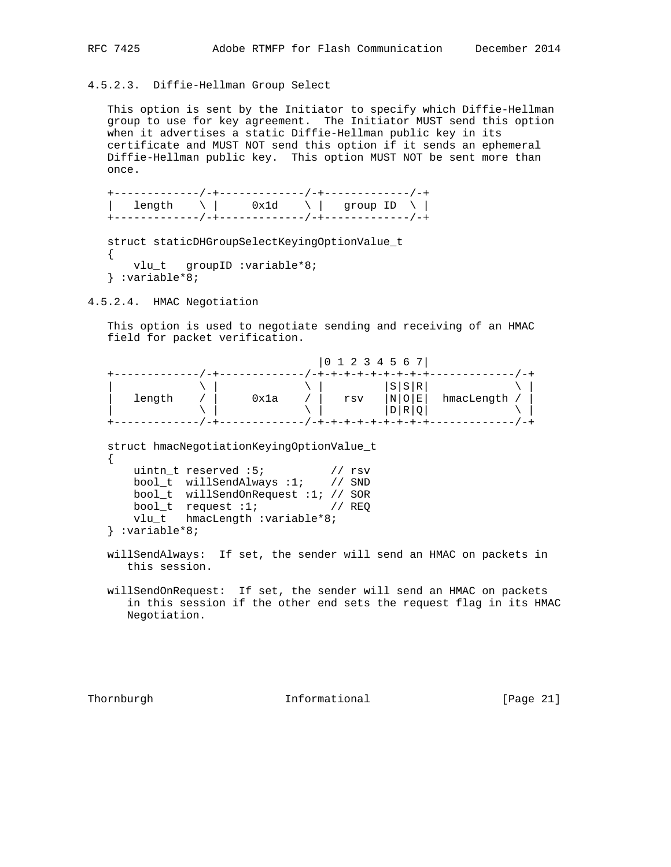# 4.5.2.3. Diffie-Hellman Group Select

 This option is sent by the Initiator to specify which Diffie-Hellman group to use for key agreement. The Initiator MUST send this option when it advertises a static Diffie-Hellman public key in its certificate and MUST NOT send this option if it sends an ephemeral Diffie-Hellman public key. This option MUST NOT be sent more than once.

 +-------------/-+-------------/-+-------------/-+ | length  $\setminus$  | 0x1d  $\setminus$  | group ID  $\setminus$  | +-------------/-+-------------/-+-------------/-+

```
 struct staticDHGroupSelectKeyingOptionValue_t
\{vlu t groupID :variable*8;
 } :variable*8;
```
4.5.2.4. HMAC Negotiation

 This option is used to negotiate sending and receiving of an HMAC field for packet verification.

|        |      |     | $\begin{bmatrix} 0 & 1 & 2 & 3 & 4 & 5 & 6 & 7 \end{bmatrix}$ |            |
|--------|------|-----|---------------------------------------------------------------|------------|
|        |      |     |                                                               |            |
|        |      |     | S S R                                                         |            |
| length | 0x1a | rsv | $\lfloor N \rfloor$ $\bigcirc$ $\lfloor E \rfloor$            | hmacLength |
|        |      |     | D R                                                           |            |
|        |      |     |                                                               |            |

 struct hmacNegotiationKeyingOptionValue\_t {

|                   | uintn t reserved :5;                | // rsv |
|-------------------|-------------------------------------|--------|
|                   | bool t willSendAlways $:1$ ; // SND |        |
|                   | bool t willSendOnRequest :1; // SOR |        |
|                   | bool t request $:1;$                | // REO |
|                   | vlu t hmacLength: variable*8;       |        |
| $\}$ :variable*8; |                                     |        |

 willSendAlways: If set, the sender will send an HMAC on packets in this session.

 willSendOnRequest: If set, the sender will send an HMAC on packets in this session if the other end sets the request flag in its HMAC Negotiation.

Thornburgh **Informational** [Page 21]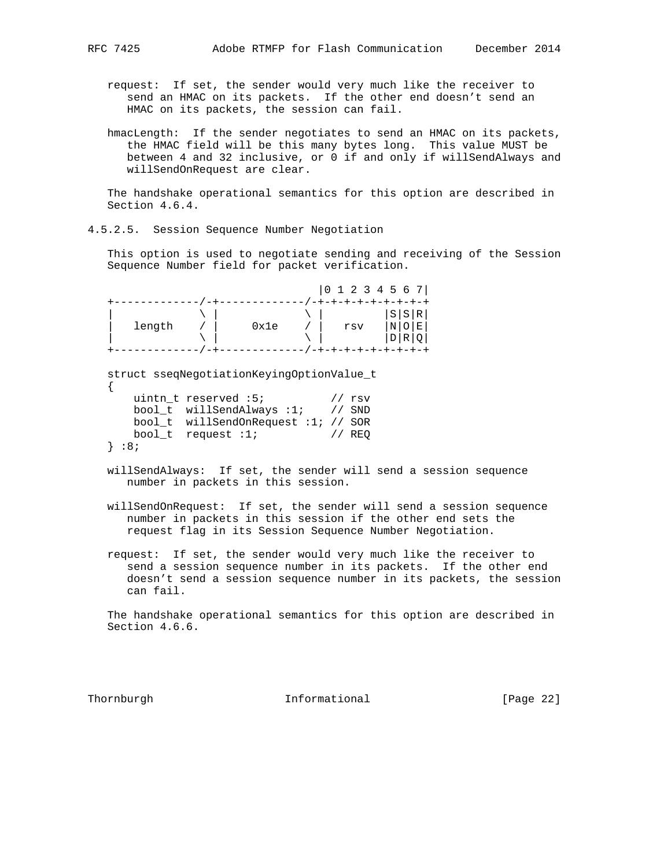request: If set, the sender would very much like the receiver to send an HMAC on its packets. If the other end doesn't send an HMAC on its packets, the session can fail.

 hmacLength: If the sender negotiates to send an HMAC on its packets, the HMAC field will be this many bytes long. This value MUST be between 4 and 32 inclusive, or 0 if and only if willSendAlways and willSendOnRequest are clear.

 The handshake operational semantics for this option are described in Section 4.6.4.

4.5.2.5. Session Sequence Number Negotiation

 This option is used to negotiate sending and receiving of the Session Sequence Number field for packet verification.

 |0 1 2 3 4 5 6 7| +-------------/-+-------------/-+-+-+-+-+-+-+-+-+ | \ | \ | |S|S|R| | length / | 0x1e / | rsv |N|O|E| | \ | \ | |D|R|Q| +-------------/-+-------------/-+-+-+-+-+-+-+-+-+

struct sseqNegotiationKeyingOptionValue\_t

|  |          | uintn t reserved :5;                | // rsv |
|--|----------|-------------------------------------|--------|
|  |          | bool t willSendAlways: 1; // SND    |        |
|  |          | bool_t willSendOnRequest :1; // SOR |        |
|  |          | bool $t$ request :1;                | // REO |
|  | $\}$ :8; |                                     |        |

- willSendAlways: If set, the sender will send a session sequence number in packets in this session.
- willSendOnRequest: If set, the sender will send a session sequence number in packets in this session if the other end sets the request flag in its Session Sequence Number Negotiation.
- request: If set, the sender would very much like the receiver to send a session sequence number in its packets. If the other end doesn't send a session sequence number in its packets, the session can fail.

 The handshake operational semantics for this option are described in Section 4.6.6.

Thornburgh **Informational Informational** [Page 22]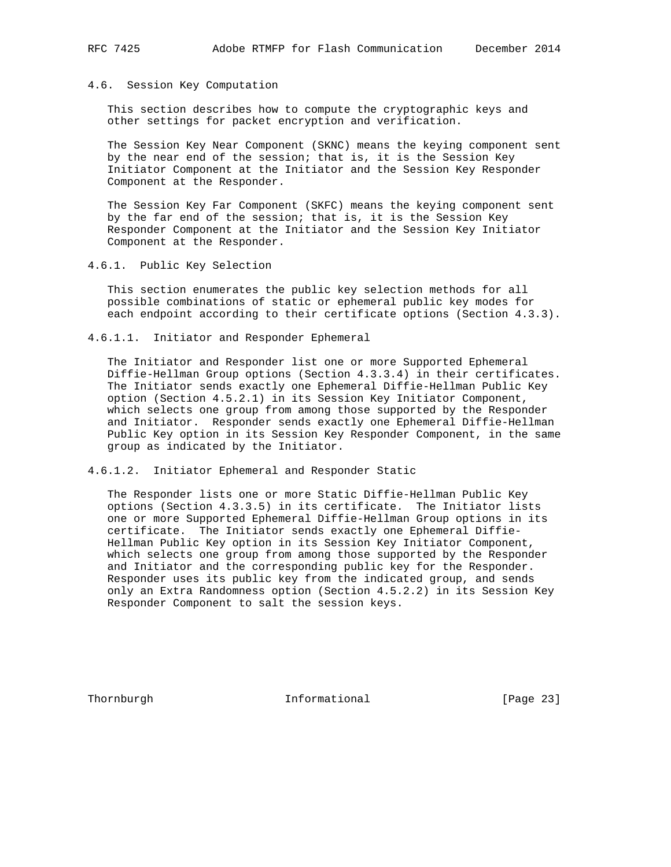## 4.6. Session Key Computation

 This section describes how to compute the cryptographic keys and other settings for packet encryption and verification.

 The Session Key Near Component (SKNC) means the keying component sent by the near end of the session; that is, it is the Session Key Initiator Component at the Initiator and the Session Key Responder Component at the Responder.

 The Session Key Far Component (SKFC) means the keying component sent by the far end of the session; that is, it is the Session Key Responder Component at the Initiator and the Session Key Initiator Component at the Responder.

4.6.1. Public Key Selection

 This section enumerates the public key selection methods for all possible combinations of static or ephemeral public key modes for each endpoint according to their certificate options (Section 4.3.3).

4.6.1.1. Initiator and Responder Ephemeral

 The Initiator and Responder list one or more Supported Ephemeral Diffie-Hellman Group options (Section 4.3.3.4) in their certificates. The Initiator sends exactly one Ephemeral Diffie-Hellman Public Key option (Section 4.5.2.1) in its Session Key Initiator Component, which selects one group from among those supported by the Responder and Initiator. Responder sends exactly one Ephemeral Diffie-Hellman Public Key option in its Session Key Responder Component, in the same group as indicated by the Initiator.

4.6.1.2. Initiator Ephemeral and Responder Static

 The Responder lists one or more Static Diffie-Hellman Public Key options (Section 4.3.3.5) in its certificate. The Initiator lists one or more Supported Ephemeral Diffie-Hellman Group options in its certificate. The Initiator sends exactly one Ephemeral Diffie- Hellman Public Key option in its Session Key Initiator Component, which selects one group from among those supported by the Responder and Initiator and the corresponding public key for the Responder. Responder uses its public key from the indicated group, and sends only an Extra Randomness option (Section 4.5.2.2) in its Session Key Responder Component to salt the session keys.

Thornburgh 10 Informational [Page 23]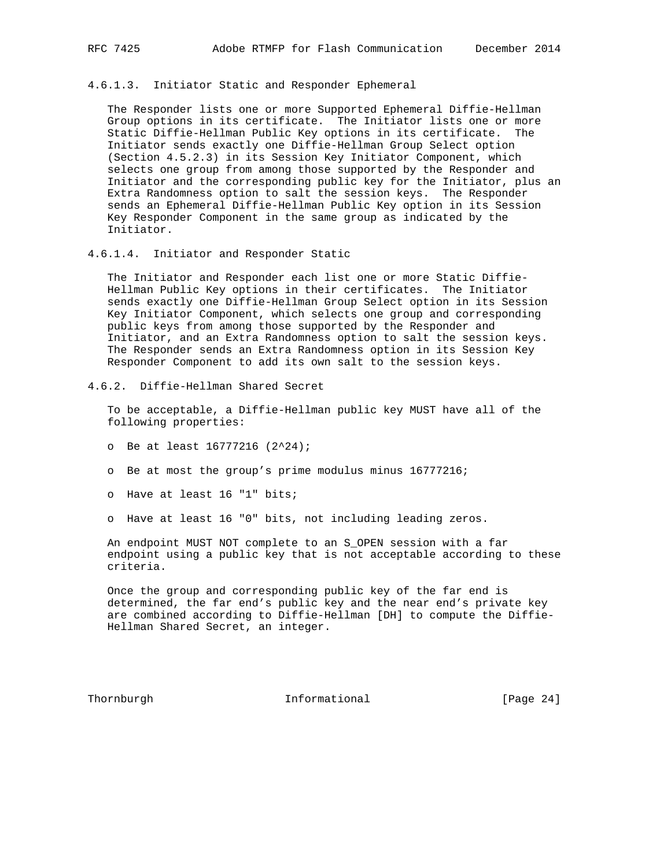#### 4.6.1.3. Initiator Static and Responder Ephemeral

 The Responder lists one or more Supported Ephemeral Diffie-Hellman Group options in its certificate. The Initiator lists one or more Static Diffie-Hellman Public Key options in its certificate. The Initiator sends exactly one Diffie-Hellman Group Select option (Section 4.5.2.3) in its Session Key Initiator Component, which selects one group from among those supported by the Responder and Initiator and the corresponding public key for the Initiator, plus an Extra Randomness option to salt the session keys. The Responder sends an Ephemeral Diffie-Hellman Public Key option in its Session Key Responder Component in the same group as indicated by the Initiator.

4.6.1.4. Initiator and Responder Static

 The Initiator and Responder each list one or more Static Diffie- Hellman Public Key options in their certificates. The Initiator sends exactly one Diffie-Hellman Group Select option in its Session Key Initiator Component, which selects one group and corresponding public keys from among those supported by the Responder and Initiator, and an Extra Randomness option to salt the session keys. The Responder sends an Extra Randomness option in its Session Key Responder Component to add its own salt to the session keys.

4.6.2. Diffie-Hellman Shared Secret

 To be acceptable, a Diffie-Hellman public key MUST have all of the following properties:

- o Be at least 16777216 (2^24);
- o Be at most the group's prime modulus minus 16777216;
- o Have at least 16 "1" bits;
- o Have at least 16 "0" bits, not including leading zeros.

 An endpoint MUST NOT complete to an S\_OPEN session with a far endpoint using a public key that is not acceptable according to these criteria.

 Once the group and corresponding public key of the far end is determined, the far end's public key and the near end's private key are combined according to Diffie-Hellman [DH] to compute the Diffie- Hellman Shared Secret, an integer.

Thornburgh **Informational Informational** [Page 24]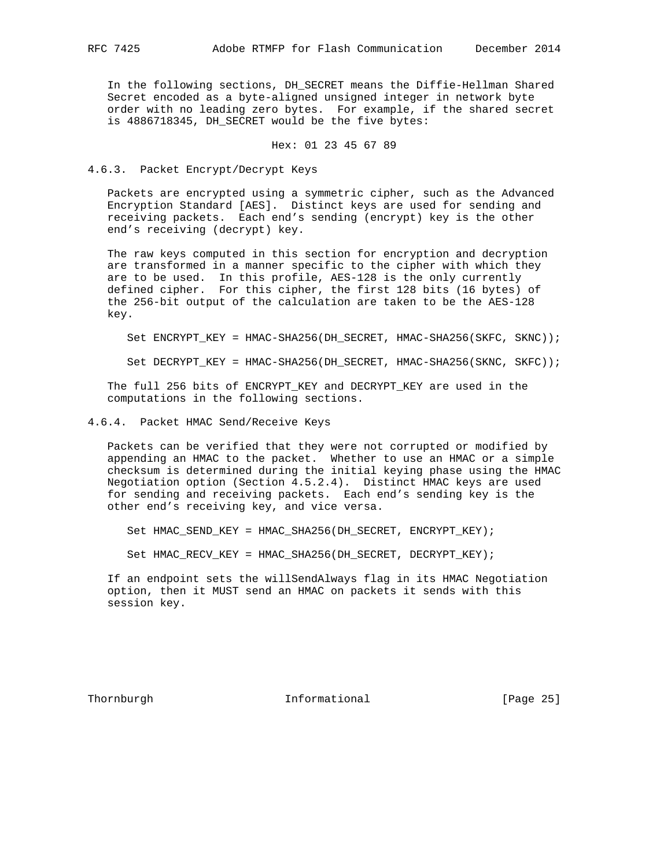In the following sections, DH\_SECRET means the Diffie-Hellman Shared Secret encoded as a byte-aligned unsigned integer in network byte order with no leading zero bytes. For example, if the shared secret is 4886718345, DH SECRET would be the five bytes:

## Hex: 01 23 45 67 89

4.6.3. Packet Encrypt/Decrypt Keys

 Packets are encrypted using a symmetric cipher, such as the Advanced Encryption Standard [AES]. Distinct keys are used for sending and receiving packets. Each end's sending (encrypt) key is the other end's receiving (decrypt) key.

 The raw keys computed in this section for encryption and decryption are transformed in a manner specific to the cipher with which they are to be used. In this profile, AES-128 is the only currently defined cipher. For this cipher, the first 128 bits (16 bytes) of the 256-bit output of the calculation are taken to be the AES-128 key.

Set ENCRYPT\_KEY = HMAC-SHA256(DH\_SECRET, HMAC-SHA256(SKFC, SKNC));

Set DECRYPT\_KEY = HMAC-SHA256(DH\_SECRET, HMAC-SHA256(SKNC, SKFC));

 The full 256 bits of ENCRYPT\_KEY and DECRYPT\_KEY are used in the computations in the following sections.

4.6.4. Packet HMAC Send/Receive Keys

 Packets can be verified that they were not corrupted or modified by appending an HMAC to the packet. Whether to use an HMAC or a simple checksum is determined during the initial keying phase using the HMAC Negotiation option (Section 4.5.2.4). Distinct HMAC keys are used for sending and receiving packets. Each end's sending key is the other end's receiving key, and vice versa.

Set HMAC\_SEND\_KEY = HMAC\_SHA256(DH\_SECRET, ENCRYPT\_KEY);

Set HMAC\_RECV\_KEY = HMAC\_SHA256(DH\_SECRET, DECRYPT\_KEY);

 If an endpoint sets the willSendAlways flag in its HMAC Negotiation option, then it MUST send an HMAC on packets it sends with this session key.

Thornburgh **Informational Informational** [Page 25]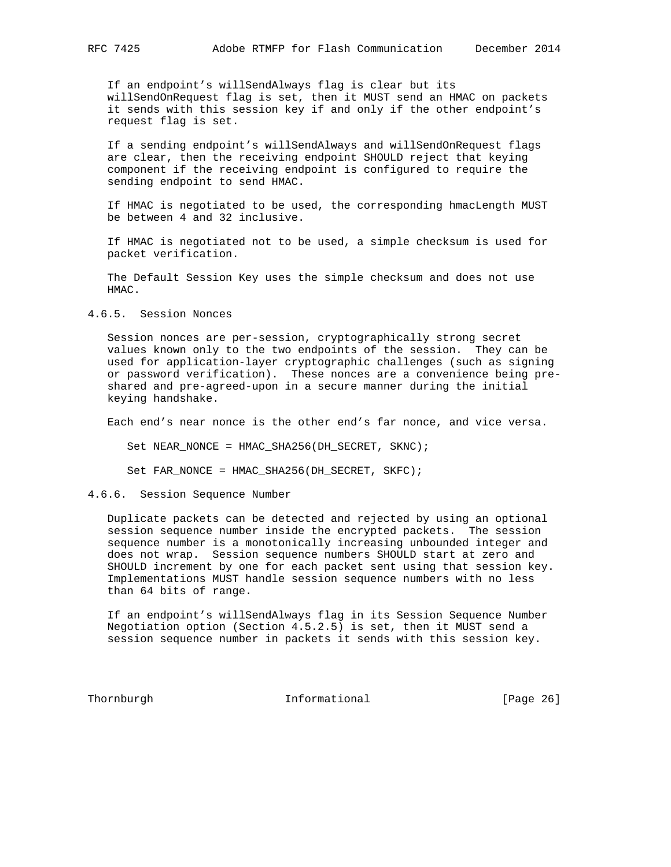If an endpoint's willSendAlways flag is clear but its willSendOnRequest flag is set, then it MUST send an HMAC on packets it sends with this session key if and only if the other endpoint's request flag is set.

 If a sending endpoint's willSendAlways and willSendOnRequest flags are clear, then the receiving endpoint SHOULD reject that keying component if the receiving endpoint is configured to require the sending endpoint to send HMAC.

 If HMAC is negotiated to be used, the corresponding hmacLength MUST be between 4 and 32 inclusive.

 If HMAC is negotiated not to be used, a simple checksum is used for packet verification.

 The Default Session Key uses the simple checksum and does not use HMAC.

4.6.5. Session Nonces

 Session nonces are per-session, cryptographically strong secret values known only to the two endpoints of the session. They can be used for application-layer cryptographic challenges (such as signing or password verification). These nonces are a convenience being pre shared and pre-agreed-upon in a secure manner during the initial keying handshake.

Each end's near nonce is the other end's far nonce, and vice versa.

Set NEAR NONCE = HMAC SHA256(DH SECRET, SKNC);

Set FAR\_NONCE = HMAC\_SHA256(DH\_SECRET, SKFC);

4.6.6. Session Sequence Number

 Duplicate packets can be detected and rejected by using an optional session sequence number inside the encrypted packets. The session sequence number is a monotonically increasing unbounded integer and does not wrap. Session sequence numbers SHOULD start at zero and SHOULD increment by one for each packet sent using that session key. Implementations MUST handle session sequence numbers with no less than 64 bits of range.

 If an endpoint's willSendAlways flag in its Session Sequence Number Negotiation option (Section 4.5.2.5) is set, then it MUST send a session sequence number in packets it sends with this session key.

Thornburgh **Informational Informational** [Page 26]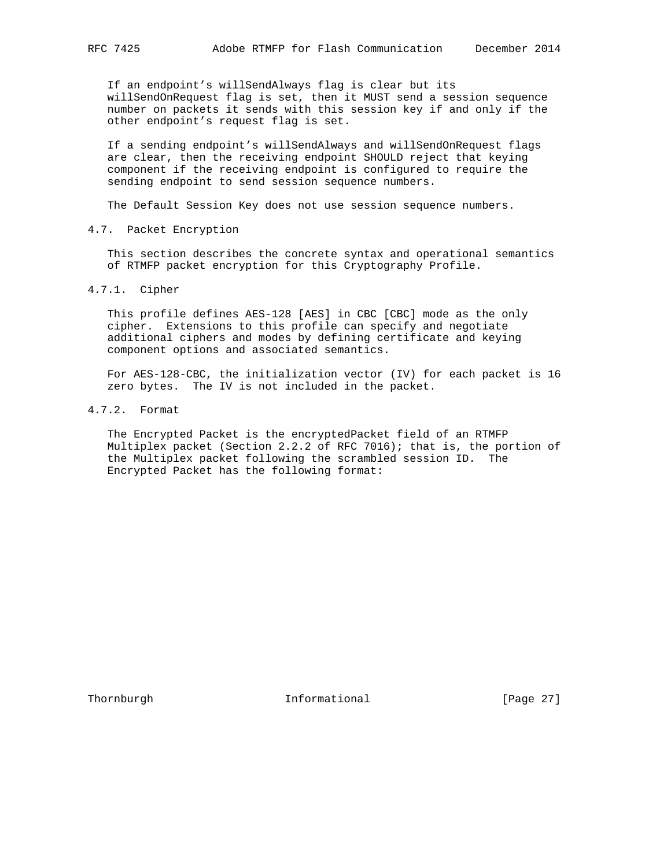If an endpoint's willSendAlways flag is clear but its willSendOnRequest flag is set, then it MUST send a session sequence number on packets it sends with this session key if and only if the other endpoint's request flag is set.

 If a sending endpoint's willSendAlways and willSendOnRequest flags are clear, then the receiving endpoint SHOULD reject that keying component if the receiving endpoint is configured to require the sending endpoint to send session sequence numbers.

The Default Session Key does not use session sequence numbers.

4.7. Packet Encryption

 This section describes the concrete syntax and operational semantics of RTMFP packet encryption for this Cryptography Profile.

4.7.1. Cipher

 This profile defines AES-128 [AES] in CBC [CBC] mode as the only cipher. Extensions to this profile can specify and negotiate additional ciphers and modes by defining certificate and keying component options and associated semantics.

 For AES-128-CBC, the initialization vector (IV) for each packet is 16 zero bytes. The IV is not included in the packet.

4.7.2. Format

 The Encrypted Packet is the encryptedPacket field of an RTMFP Multiplex packet (Section 2.2.2 of RFC 7016); that is, the portion of the Multiplex packet following the scrambled session ID. The Encrypted Packet has the following format:

Thornburgh **Informational** [Page 27]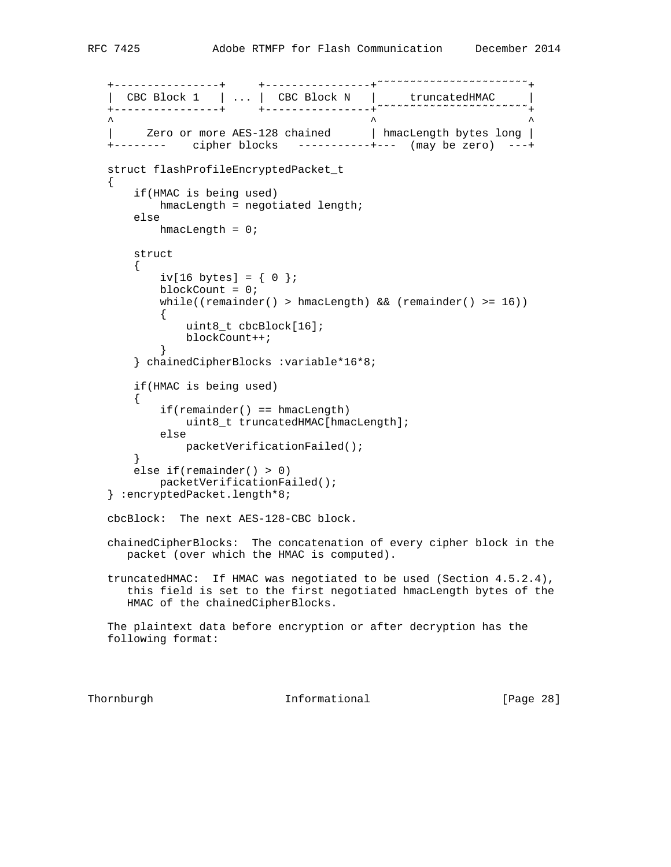```
 +----------------+ +----------------+˜˜˜˜˜˜˜˜˜˜˜˜˜˜˜˜˜˜˜˜˜˜˜+
 | CBC Block 1 | ... | CBC Block N | truncatedHMAC |
 +----------------+ +----------------+˜˜˜˜˜˜˜˜˜˜˜˜˜˜˜˜˜˜˜˜˜˜˜+
\wedge \wedge \wedge \wedge \wedge \wedge \wedge \wedge \wedge \wedge \wedge \wedge \wedge \wedge \wedge \wedge \wedge \wedge \wedge \wedge \wedge \wedge \wedge \wedge \wedge \wedge \wedge \wedge \wedge \wedge \wedge \wedge \wedge \wedge \wedge \wedge \wedgeZero or more AES-128 chained | hmacLength bytes long |
    +-------- cipher blocks -----------+--- (may be zero) ---+
    struct flashProfileEncryptedPacket_t
    {
        if(HMAC is being used)
            hmacLength = negotiated length;
        else
           hmacLength = 0;
        struct
        {
           iv[16 bytes] = \{ 0 \};
            blockCount = 0;
            while((remainder() > hmacLength) && (remainder() >= 16))
\{ uint8_t cbcBlock[16];
            blockCount++;<br>}
 }
        } chainedCipherBlocks :variable*16*8;
        if(HMAC is being used)
        {
            if(remainder() == hmacLength)
                uint8_t truncatedHMAC[hmacLength];
            else
               packetVerificationFailed();
        }
        else if(remainder() > 0)
           packetVerificationFailed();
    } :encryptedPacket.length*8;
    cbcBlock: The next AES-128-CBC block.
    chainedCipherBlocks: The concatenation of every cipher block in the
       packet (over which the HMAC is computed).
    truncatedHMAC: If HMAC was negotiated to be used (Section 4.5.2.4),
       this field is set to the first negotiated hmacLength bytes of the
       HMAC of the chainedCipherBlocks.
    The plaintext data before encryption or after decryption has the
    following format:
```
Thornburgh **Informational** [Page 28]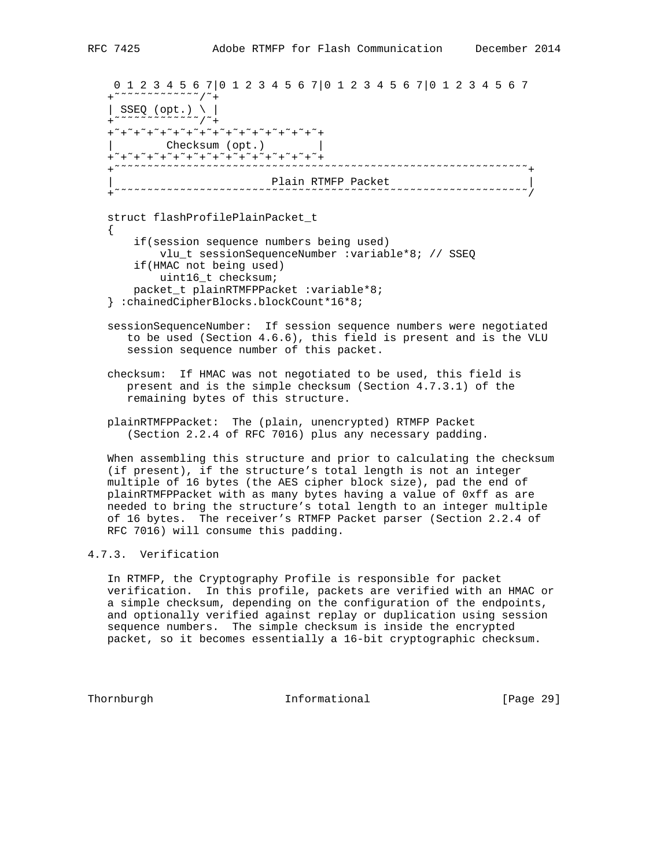0 1 2 3 4 5 6 7|0 1 2 3 4 5 6 7|0 1 2 3 4 5 6 7|0 1 2 3 4 5 6 7 +˜˜˜˜˜˜˜˜˜˜˜˜˜/˜+ | SSEQ (opt.) \ | +˜˜˜˜˜˜˜˜˜˜˜˜˜/˜+ +˜+˜+˜+˜+˜+˜+˜+˜+˜+˜+˜+˜+˜+˜+˜+˜+ | Checksum (opt.) | +˜+˜+˜+˜+˜+˜+˜+˜+˜+˜+˜+˜+˜+˜+˜+˜+ +˜˜˜˜˜˜˜˜˜˜˜˜˜˜˜˜˜˜˜˜˜˜˜˜˜˜˜˜˜˜˜˜˜˜˜˜˜˜˜˜˜˜˜˜˜˜˜˜˜˜˜˜˜˜˜˜˜˜˜˜˜˜˜+ | Plain RTMFP Packet | +˜˜˜˜˜˜˜˜˜˜˜˜˜˜˜˜˜˜˜˜˜˜˜˜˜˜˜˜˜˜˜˜˜˜˜˜˜˜˜˜˜˜˜˜˜˜˜˜˜˜˜˜˜˜˜˜˜˜˜˜˜˜˜/ struct flashProfilePlainPacket\_t

 { if(session sequence numbers being used) vlu\_t sessionSequenceNumber :variable\*8; // SSEQ if(HMAC not being used) uint16\_t checksum; packet\_t plainRTMFPPacket :variable\*8; } :chainedCipherBlocks.blockCount\*16\*8;

- sessionSequenceNumber: If session sequence numbers were negotiated to be used (Section 4.6.6), this field is present and is the VLU session sequence number of this packet.
- checksum: If HMAC was not negotiated to be used, this field is present and is the simple checksum (Section 4.7.3.1) of the remaining bytes of this structure.
- plainRTMFPPacket: The (plain, unencrypted) RTMFP Packet (Section 2.2.4 of RFC 7016) plus any necessary padding.

 When assembling this structure and prior to calculating the checksum (if present), if the structure's total length is not an integer multiple of 16 bytes (the AES cipher block size), pad the end of plainRTMFPPacket with as many bytes having a value of 0xff as are needed to bring the structure's total length to an integer multiple of 16 bytes. The receiver's RTMFP Packet parser (Section 2.2.4 of RFC 7016) will consume this padding.

#### 4.7.3. Verification

 In RTMFP, the Cryptography Profile is responsible for packet verification. In this profile, packets are verified with an HMAC or a simple checksum, depending on the configuration of the endpoints, and optionally verified against replay or duplication using session sequence numbers. The simple checksum is inside the encrypted packet, so it becomes essentially a 16-bit cryptographic checksum.

Thornburgh Informational [Page 29]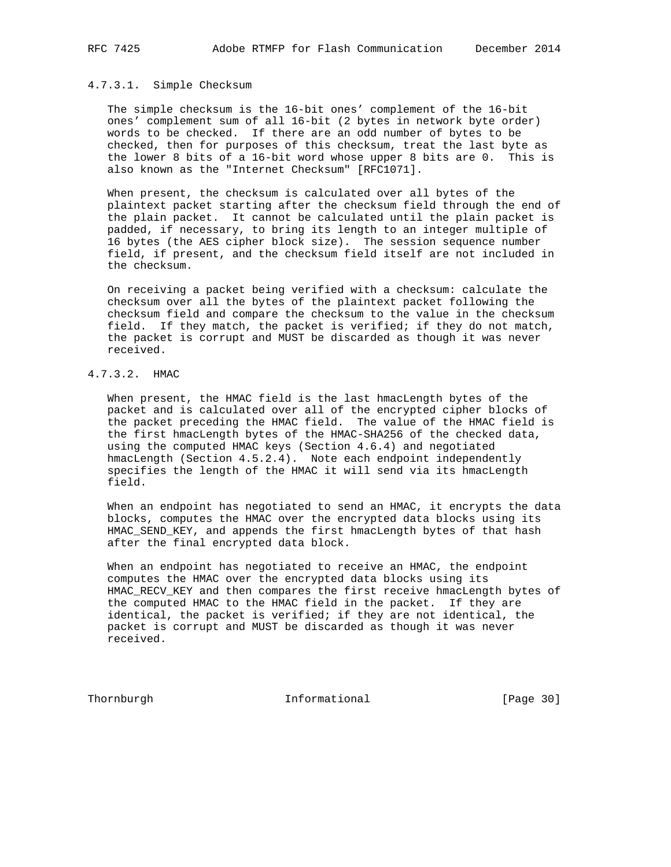# 4.7.3.1. Simple Checksum

 The simple checksum is the 16-bit ones' complement of the 16-bit ones' complement sum of all 16-bit (2 bytes in network byte order) words to be checked. If there are an odd number of bytes to be checked, then for purposes of this checksum, treat the last byte as the lower 8 bits of a 16-bit word whose upper 8 bits are 0. This is also known as the "Internet Checksum" [RFC1071].

 When present, the checksum is calculated over all bytes of the plaintext packet starting after the checksum field through the end of the plain packet. It cannot be calculated until the plain packet is padded, if necessary, to bring its length to an integer multiple of 16 bytes (the AES cipher block size). The session sequence number field, if present, and the checksum field itself are not included in the checksum.

 On receiving a packet being verified with a checksum: calculate the checksum over all the bytes of the plaintext packet following the checksum field and compare the checksum to the value in the checksum field. If they match, the packet is verified; if they do not match, the packet is corrupt and MUST be discarded as though it was never received.

## 4.7.3.2. HMAC

 When present, the HMAC field is the last hmacLength bytes of the packet and is calculated over all of the encrypted cipher blocks of the packet preceding the HMAC field. The value of the HMAC field is the first hmacLength bytes of the HMAC-SHA256 of the checked data, using the computed HMAC keys (Section 4.6.4) and negotiated hmacLength (Section 4.5.2.4). Note each endpoint independently specifies the length of the HMAC it will send via its hmacLength field.

 When an endpoint has negotiated to send an HMAC, it encrypts the data blocks, computes the HMAC over the encrypted data blocks using its HMAC\_SEND\_KEY, and appends the first hmacLength bytes of that hash after the final encrypted data block.

 When an endpoint has negotiated to receive an HMAC, the endpoint computes the HMAC over the encrypted data blocks using its HMAC\_RECV\_KEY and then compares the first receive hmacLength bytes of the computed HMAC to the HMAC field in the packet. If they are identical, the packet is verified; if they are not identical, the packet is corrupt and MUST be discarded as though it was never received.

Thornburgh 1nformational [Page 30]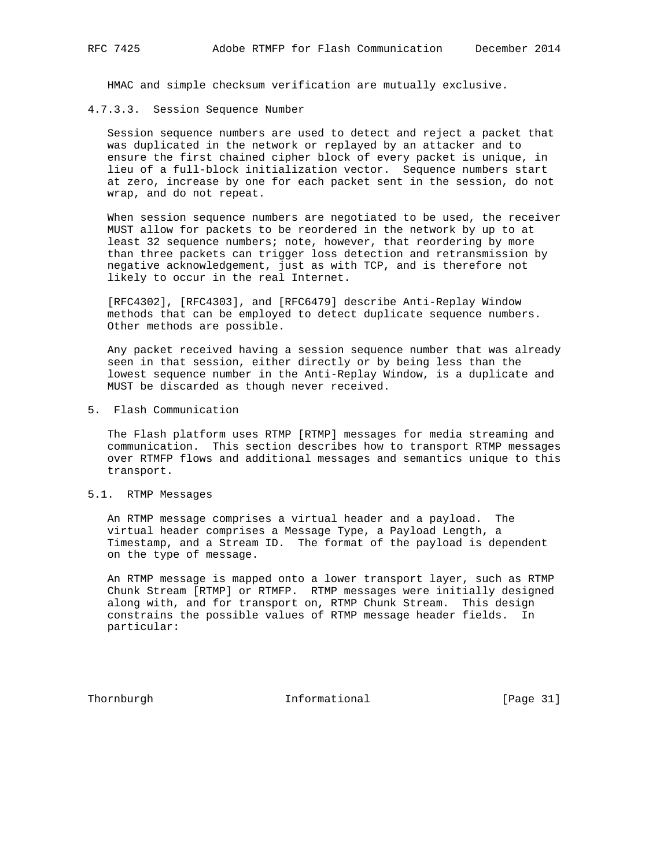HMAC and simple checksum verification are mutually exclusive.

4.7.3.3. Session Sequence Number

 Session sequence numbers are used to detect and reject a packet that was duplicated in the network or replayed by an attacker and to ensure the first chained cipher block of every packet is unique, in lieu of a full-block initialization vector. Sequence numbers start at zero, increase by one for each packet sent in the session, do not wrap, and do not repeat.

 When session sequence numbers are negotiated to be used, the receiver MUST allow for packets to be reordered in the network by up to at least 32 sequence numbers; note, however, that reordering by more than three packets can trigger loss detection and retransmission by negative acknowledgement, just as with TCP, and is therefore not likely to occur in the real Internet.

 [RFC4302], [RFC4303], and [RFC6479] describe Anti-Replay Window methods that can be employed to detect duplicate sequence numbers. Other methods are possible.

 Any packet received having a session sequence number that was already seen in that session, either directly or by being less than the lowest sequence number in the Anti-Replay Window, is a duplicate and MUST be discarded as though never received.

5. Flash Communication

 The Flash platform uses RTMP [RTMP] messages for media streaming and communication. This section describes how to transport RTMP messages over RTMFP flows and additional messages and semantics unique to this transport.

5.1. RTMP Messages

 An RTMP message comprises a virtual header and a payload. The virtual header comprises a Message Type, a Payload Length, a Timestamp, and a Stream ID. The format of the payload is dependent on the type of message.

 An RTMP message is mapped onto a lower transport layer, such as RTMP Chunk Stream [RTMP] or RTMFP. RTMP messages were initially designed along with, and for transport on, RTMP Chunk Stream. This design constrains the possible values of RTMP message header fields. In particular:

Thornburgh **Informational** [Page 31]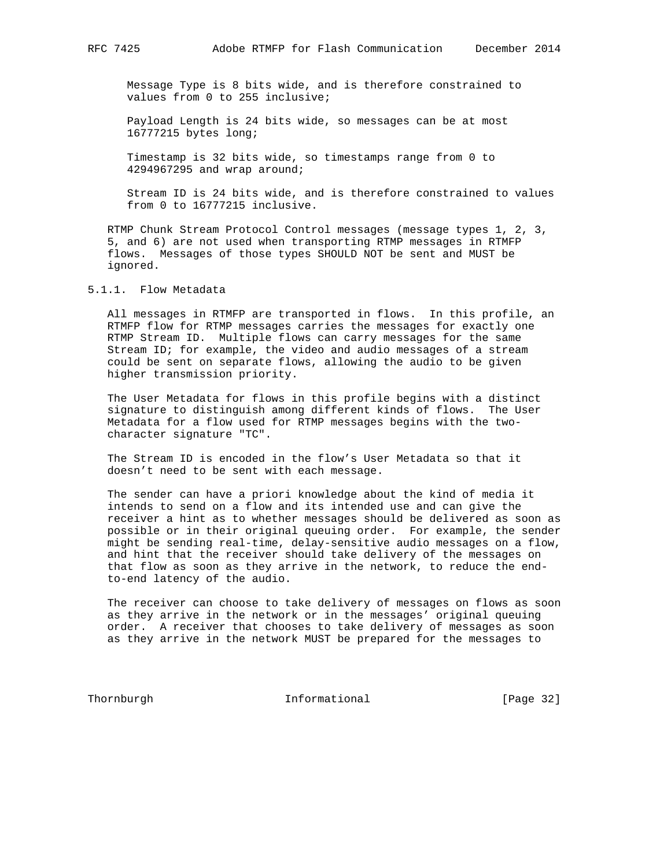Message Type is 8 bits wide, and is therefore constrained to values from 0 to 255 inclusive;

 Payload Length is 24 bits wide, so messages can be at most 16777215 bytes long;

 Timestamp is 32 bits wide, so timestamps range from 0 to 4294967295 and wrap around;

 Stream ID is 24 bits wide, and is therefore constrained to values from 0 to 16777215 inclusive.

 RTMP Chunk Stream Protocol Control messages (message types 1, 2, 3, 5, and 6) are not used when transporting RTMP messages in RTMFP flows. Messages of those types SHOULD NOT be sent and MUST be ignored.

# 5.1.1. Flow Metadata

 All messages in RTMFP are transported in flows. In this profile, an RTMFP flow for RTMP messages carries the messages for exactly one RTMP Stream ID. Multiple flows can carry messages for the same Stream ID; for example, the video and audio messages of a stream could be sent on separate flows, allowing the audio to be given higher transmission priority.

 The User Metadata for flows in this profile begins with a distinct signature to distinguish among different kinds of flows. The User Metadata for a flow used for RTMP messages begins with the two character signature "TC".

 The Stream ID is encoded in the flow's User Metadata so that it doesn't need to be sent with each message.

 The sender can have a priori knowledge about the kind of media it intends to send on a flow and its intended use and can give the receiver a hint as to whether messages should be delivered as soon as possible or in their original queuing order. For example, the sender might be sending real-time, delay-sensitive audio messages on a flow, and hint that the receiver should take delivery of the messages on that flow as soon as they arrive in the network, to reduce the end to-end latency of the audio.

 The receiver can choose to take delivery of messages on flows as soon as they arrive in the network or in the messages' original queuing order. A receiver that chooses to take delivery of messages as soon as they arrive in the network MUST be prepared for the messages to

Thornburgh 1nformational [Page 32]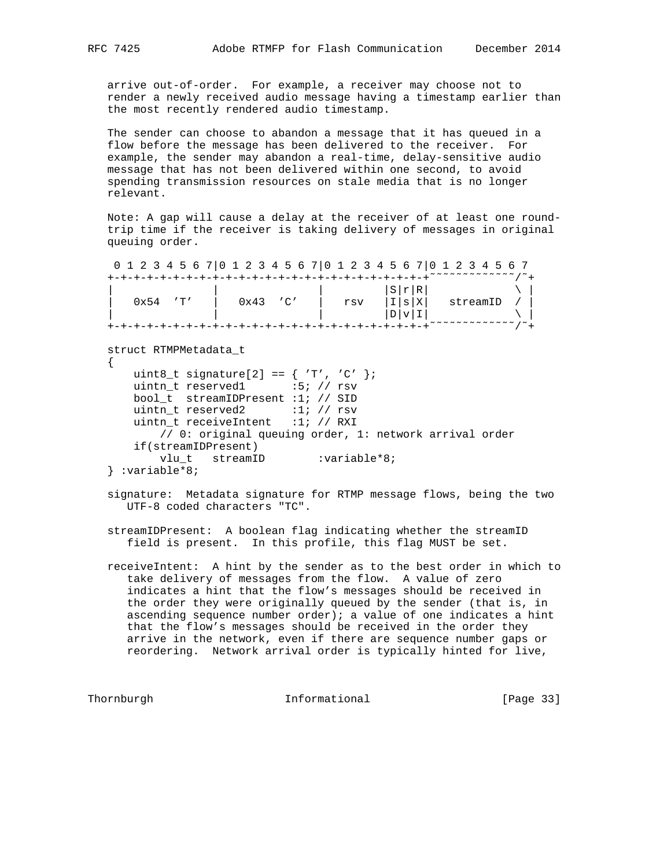arrive out-of-order. For example, a receiver may choose not to render a newly received audio message having a timestamp earlier than the most recently rendered audio timestamp.

 The sender can choose to abandon a message that it has queued in a flow before the message has been delivered to the receiver. For example, the sender may abandon a real-time, delay-sensitive audio message that has not been delivered within one second, to avoid spending transmission resources on stale media that is no longer relevant.

 Note: A gap will cause a delay at the receiver of at least one round trip time if the receiver is taking delivery of messages in original queuing order.

 0 1 2 3 4 5 6 7|0 1 2 3 4 5 6 7|0 1 2 3 4 5 6 7|0 1 2 3 4 5 6 7 +-+-+-+-+-+-+-+-+-+-+-+-+-+-+-+-+-+-+-+-+-+-+-+-+˜˜˜˜˜˜˜˜˜˜˜˜˜/˜+ | | | |S|r|R| \ | | 0x54 'T' | 0x43 'C' | rsv |I|s|X| streamID / |

 $|\hspace{.6cm} \rangle$  |  $|\hspace{.6cm} \rangle$  |  $|\hspace{.6cm} \rangle$  |  $|\hspace{.6cm} \rangle$  |  $|\hspace{.6cm} \rangle$  |  $|\hspace{.6cm} \rangle$  |  $|\hspace{.6cm} \rangle$  |  $|\hspace{.6cm} \rangle$  |  $|\hspace{.6cm} \rangle$  |  $|\hspace{.6cm} \rangle$  |  $|\hspace{.6cm} \rangle$  |  $|\hspace{.6cm} \rangle$  |  $|\hspace{.6cm} \rangle$  |  $|\hspace{.6cm} \rangle$  |  $|\hspace{.6cm} \rangle$ +-+-+-+-+-+-+-+-+-+-+-+-+-+-+-+-+-+-+-+-+-+-+-+-+˜˜˜˜˜˜˜˜˜˜˜˜˜/˜+

struct RTMPMetadata\_t

 { uint8\_t signature[2] ==  $\{ 'T', 'C' \}$ ; uintn\_t reserved1 :5; // rsv bool\_t streamIDPresent :1; // SID uintn\_t reserved2 :1; // rsv uintn\_t receiveIntent :1; // RXI // 0: original queuing order, 1: network arrival order if(streamIDPresent) vlu\_t streamID :variable\*8; } :variable\*8;

 signature: Metadata signature for RTMP message flows, being the two UTF-8 coded characters "TC".

 streamIDPresent: A boolean flag indicating whether the streamID field is present. In this profile, this flag MUST be set.

 receiveIntent: A hint by the sender as to the best order in which to take delivery of messages from the flow. A value of zero indicates a hint that the flow's messages should be received in the order they were originally queued by the sender (that is, in ascending sequence number order); a value of one indicates a hint that the flow's messages should be received in the order they arrive in the network, even if there are sequence number gaps or reordering. Network arrival order is typically hinted for live,

Thornburgh 1nformational [Page 33]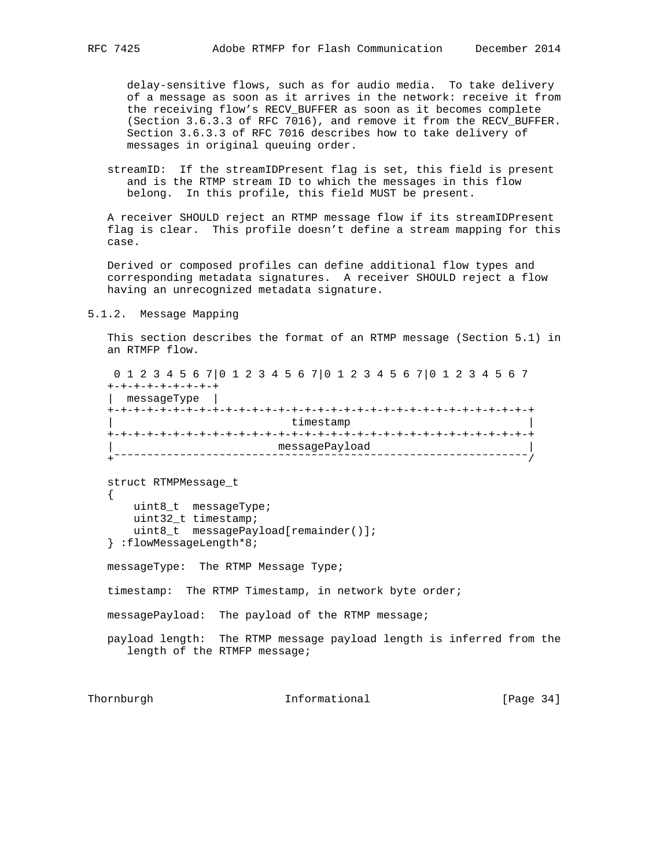delay-sensitive flows, such as for audio media. To take delivery of a message as soon as it arrives in the network: receive it from the receiving flow's RECV\_BUFFER as soon as it becomes complete (Section 3.6.3.3 of RFC 7016), and remove it from the RECV\_BUFFER. Section 3.6.3.3 of RFC 7016 describes how to take delivery of messages in original queuing order.

 streamID: If the streamIDPresent flag is set, this field is present and is the RTMP stream ID to which the messages in this flow belong. In this profile, this field MUST be present.

 A receiver SHOULD reject an RTMP message flow if its streamIDPresent flag is clear. This profile doesn't define a stream mapping for this case.

 Derived or composed profiles can define additional flow types and corresponding metadata signatures. A receiver SHOULD reject a flow having an unrecognized metadata signature.

5.1.2. Message Mapping

 This section describes the format of an RTMP message (Section 5.1) in an RTMFP flow.

 0 1 2 3 4 5 6 7|0 1 2 3 4 5 6 7|0 1 2 3 4 5 6 7|0 1 2 3 4 5 6 7 +-+-+-+-+-+-+-+-+ | messageType | +-+-+-+-+-+-+-+-+-+-+-+-+-+-+-+-+-+-+-+-+-+-+-+-+-+-+-+-+-+-+-+-+ timestamp +-+-+-+-+-+-+-+-+-+-+-+-+-+-+-+-+-+-+-+-+-+-+-+-+-+-+-+-+-+-+-+-+ | messagePayload | +˜˜˜˜˜˜˜˜˜˜˜˜˜˜˜˜˜˜˜˜˜˜˜˜˜˜˜˜˜˜˜˜˜˜˜˜˜˜˜˜˜˜˜˜˜˜˜˜˜˜˜˜˜˜˜˜˜˜˜˜˜˜˜/ struct RTMPMessage\_t  $\{$  \cdot \cdot \cdot \cdot \cdot \cdot \cdot \cdot \cdot \cdot \cdot \cdot \cdot \cdot \cdot \cdot \cdot \cdot \cdot \cdot \cdot \cdot \cdot \cdot \cdot \cdot \cdot \cdot \cdot \cdot \cdot \cdot \cdot \cdot \cdot \cdot uint8\_t messageType; uint32\_t timestamp; uint8\_t messagePayload[remainder()]; } :flowMessageLength\*8; messageType: The RTMP Message Type; timestamp: The RTMP Timestamp, in network byte order; messagePayload: The payload of the RTMP message; payload length: The RTMP message payload length is inferred from the length of the RTMFP message;

Thornburgh 1nformational [Page 34]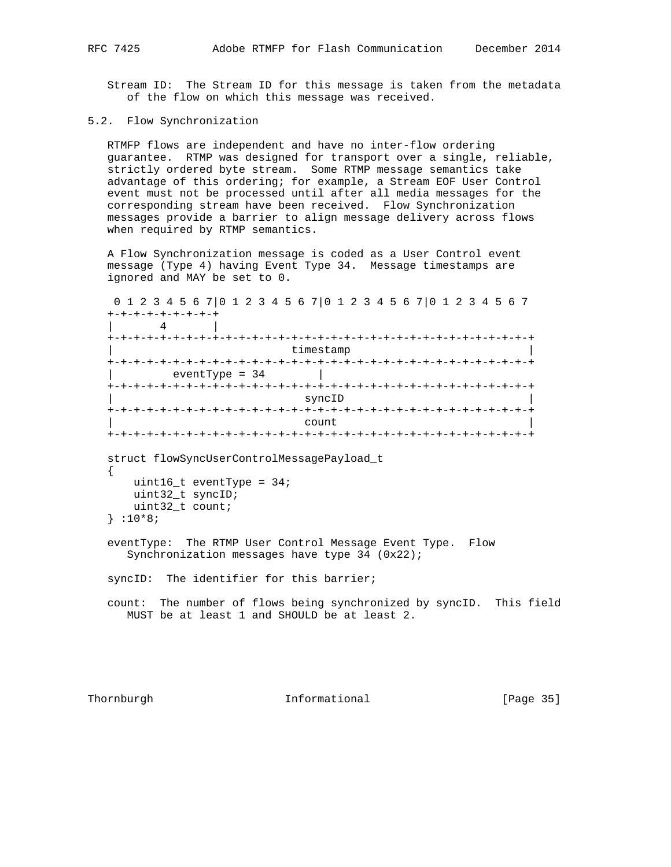Stream ID: The Stream ID for this message is taken from the metadata of the flow on which this message was received.

## 5.2. Flow Synchronization

 RTMFP flows are independent and have no inter-flow ordering guarantee. RTMP was designed for transport over a single, reliable, strictly ordered byte stream. Some RTMP message semantics take advantage of this ordering; for example, a Stream EOF User Control event must not be processed until after all media messages for the corresponding stream have been received. Flow Synchronization messages provide a barrier to align message delivery across flows when required by RTMP semantics.

 A Flow Synchronization message is coded as a User Control event message (Type 4) having Event Type 34. Message timestamps are ignored and MAY be set to 0.

 0 1 2 3 4 5 6 7|0 1 2 3 4 5 6 7|0 1 2 3 4 5 6 7|0 1 2 3 4 5 6 7 +-+-+-+-+-+-+-+-+  $\vert$  4 +-+-+-+-+-+-+-+-+-+-+-+-+-+-+-+-+-+-+-+-+-+-+-+-+-+-+-+-+-+-+-+-+ timestamp +-+-+-+-+-+-+-+-+-+-+-+-+-+-+-+-+-+-+-+-+-+-+-+-+-+-+-+-+-+-+-+-+ | eventType = 34 | +-+-+-+-+-+-+-+-+-+-+-+-+-+-+-+-+-+-+-+-+-+-+-+-+-+-+-+-+-+-+-+-+ syncID +-+-+-+-+-+-+-+-+-+-+-+-+-+-+-+-+-+-+-+-+-+-+-+-+-+-+-+-+-+-+-+-+ | count | count | count | count | count | count | count | count | count | count | count | count | count | count +-+-+-+-+-+-+-+-+-+-+-+-+-+-+-+-+-+-+-+-+-+-+-+-+-+-+-+-+-+-+-+-+ struct flowSyncUserControlMessagePayload\_t { uint16\_t eventType = 34; uint32\_t syncID; uint32\_t count; } :10\*8; eventType: The RTMP User Control Message Event Type. Flow Synchronization messages have type 34 (0x22); syncID: The identifier for this barrier; count: The number of flows being synchronized by syncID. This field MUST be at least 1 and SHOULD be at least 2.

Thornburgh **Informational** [Page 35]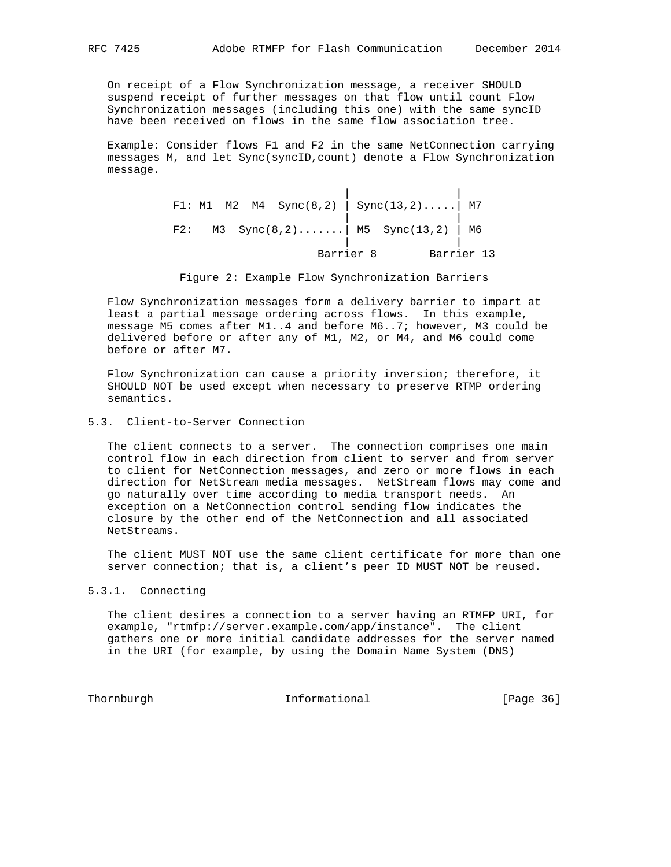On receipt of a Flow Synchronization message, a receiver SHOULD suspend receipt of further messages on that flow until count Flow Synchronization messages (including this one) with the same syncID have been received on flows in the same flow association tree.

 Example: Consider flows F1 and F2 in the same NetConnection carrying messages M, and let Sync(syncID,count) denote a Flow Synchronization message.

|  |  |  |           | F1: M1 M2 M4 Sync(8,2) $\Big $ Sync(13,2) M7 |            |
|--|--|--|-----------|----------------------------------------------|------------|
|  |  |  |           | F2: M3 Sync(8,2) M5 Sync(13,2) M6            |            |
|  |  |  | Barrier 8 |                                              | Barrier 13 |

Figure 2: Example Flow Synchronization Barriers

 Flow Synchronization messages form a delivery barrier to impart at least a partial message ordering across flows. In this example, message M5 comes after M1..4 and before M6..7; however, M3 could be delivered before or after any of M1, M2, or M4, and M6 could come before or after M7.

 Flow Synchronization can cause a priority inversion; therefore, it SHOULD NOT be used except when necessary to preserve RTMP ordering semantics.

5.3. Client-to-Server Connection

 The client connects to a server. The connection comprises one main control flow in each direction from client to server and from server to client for NetConnection messages, and zero or more flows in each direction for NetStream media messages. NetStream flows may come and go naturally over time according to media transport needs. An exception on a NetConnection control sending flow indicates the closure by the other end of the NetConnection and all associated NetStreams.

 The client MUST NOT use the same client certificate for more than one server connection; that is, a client's peer ID MUST NOT be reused.

# 5.3.1. Connecting

 The client desires a connection to a server having an RTMFP URI, for example, "rtmfp://server.example.com/app/instance". The client gathers one or more initial candidate addresses for the server named in the URI (for example, by using the Domain Name System (DNS)

Thornburgh **Informational** [Page 36]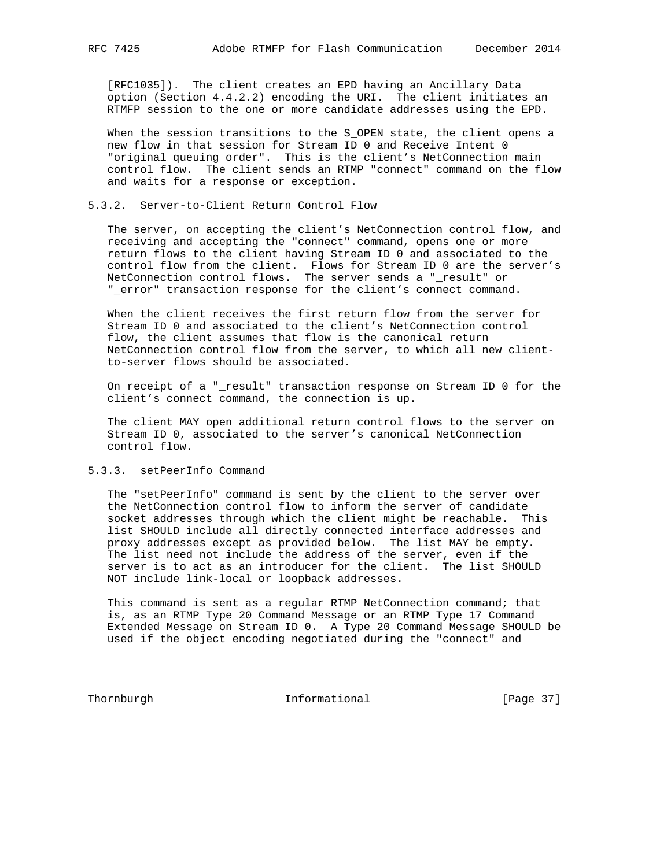[RFC1035]). The client creates an EPD having an Ancillary Data option (Section 4.4.2.2) encoding the URI. The client initiates an RTMFP session to the one or more candidate addresses using the EPD.

 When the session transitions to the S\_OPEN state, the client opens a new flow in that session for Stream ID 0 and Receive Intent 0 "original queuing order". This is the client's NetConnection main control flow. The client sends an RTMP "connect" command on the flow and waits for a response or exception.

## 5.3.2. Server-to-Client Return Control Flow

 The server, on accepting the client's NetConnection control flow, and receiving and accepting the "connect" command, opens one or more return flows to the client having Stream ID 0 and associated to the control flow from the client. Flows for Stream ID 0 are the server's NetConnection control flows. The server sends a "\_result" or "\_error" transaction response for the client's connect command.

 When the client receives the first return flow from the server for Stream ID 0 and associated to the client's NetConnection control flow, the client assumes that flow is the canonical return NetConnection control flow from the server, to which all new client to-server flows should be associated.

 On receipt of a "\_result" transaction response on Stream ID 0 for the client's connect command, the connection is up.

 The client MAY open additional return control flows to the server on Stream ID 0, associated to the server's canonical NetConnection control flow.

## 5.3.3. setPeerInfo Command

 The "setPeerInfo" command is sent by the client to the server over the NetConnection control flow to inform the server of candidate socket addresses through which the client might be reachable. This list SHOULD include all directly connected interface addresses and proxy addresses except as provided below. The list MAY be empty. The list need not include the address of the server, even if the server is to act as an introducer for the client. The list SHOULD NOT include link-local or loopback addresses.

 This command is sent as a regular RTMP NetConnection command; that is, as an RTMP Type 20 Command Message or an RTMP Type 17 Command Extended Message on Stream ID 0. A Type 20 Command Message SHOULD be used if the object encoding negotiated during the "connect" and

Thornburgh **Informational Informational** [Page 37]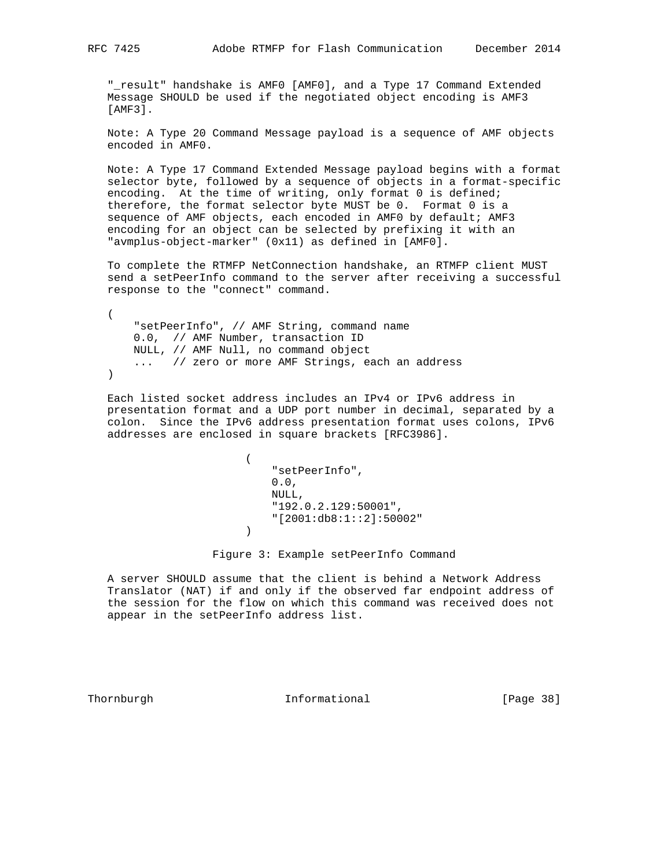"\_result" handshake is AMF0 [AMF0], and a Type 17 Command Extended Message SHOULD be used if the negotiated object encoding is AMF3 [AMF3].

 Note: A Type 20 Command Message payload is a sequence of AMF objects encoded in AMF0.

 Note: A Type 17 Command Extended Message payload begins with a format selector byte, followed by a sequence of objects in a format-specific encoding. At the time of writing, only format 0 is defined; therefore, the format selector byte MUST be 0. Format 0 is a sequence of AMF objects, each encoded in AMF0 by default; AMF3 encoding for an object can be selected by prefixing it with an "avmplus-object-marker" (0x11) as defined in [AMF0].

 To complete the RTMFP NetConnection handshake, an RTMFP client MUST send a setPeerInfo command to the server after receiving a successful response to the "connect" command.

 ( "setPeerInfo", // AMF String, command name 0.0, // AMF Number, transaction ID NULL, // AMF Null, no command object ... // zero or more AMF Strings, each an address  $\left( \right)$ 

 Each listed socket address includes an IPv4 or IPv6 address in presentation format and a UDP port number in decimal, separated by a colon. Since the IPv6 address presentation format uses colons, IPv6 addresses are enclosed in square brackets [RFC3986].

 $\overline{\phantom{a}}$  "setPeerInfo",  $0.0,$  NULL, "192.0.2.129:50001", "[2001:db8:1::2]:50002" )

Figure 3: Example setPeerInfo Command

 A server SHOULD assume that the client is behind a Network Address Translator (NAT) if and only if the observed far endpoint address of the session for the flow on which this command was received does not appear in the setPeerInfo address list.

Thornburgh 10 Informational [Page 38]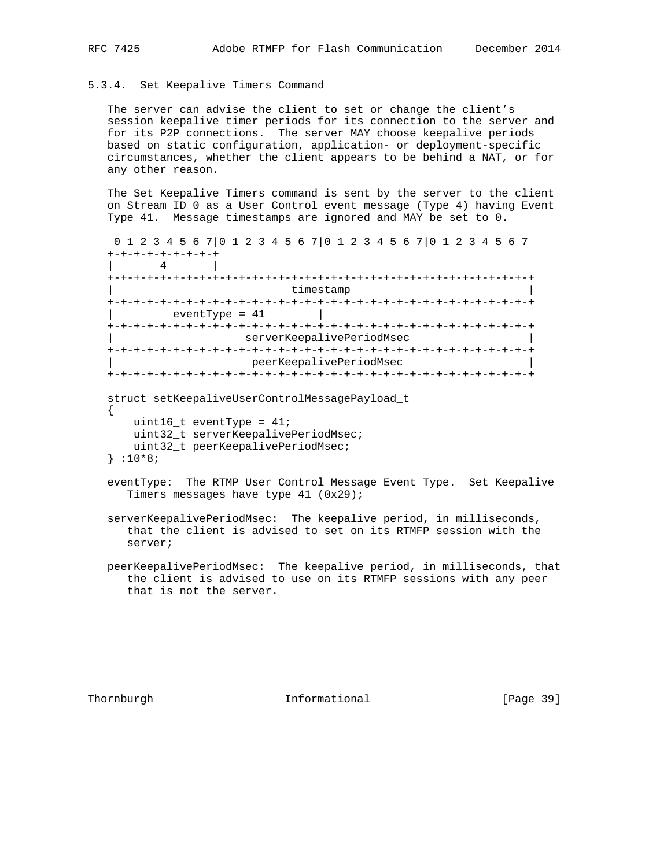#### 5.3.4. Set Keepalive Timers Command

 The server can advise the client to set or change the client's session keepalive timer periods for its connection to the server and for its P2P connections. The server MAY choose keepalive periods based on static configuration, application- or deployment-specific circumstances, whether the client appears to be behind a NAT, or for any other reason.

 The Set Keepalive Timers command is sent by the server to the client on Stream ID 0 as a User Control event message (Type 4) having Event Type 41. Message timestamps are ignored and MAY be set to 0.

```
 0 1 2 3 4 5 6 7|0 1 2 3 4 5 6 7|0 1 2 3 4 5 6 7|0 1 2 3 4 5 6 7
    +-+-+-+-+-+-+-+-+
     | 4 |
    +-+-+-+-+-+-+-+-+-+-+-+-+-+-+-+-+-+-+-+-+-+-+-+-+-+-+-+-+-+-+-+-+
                                        timestamp
    +-+-+-+-+-+-+-+-+-+-+-+-+-+-+-+-+-+-+-+-+-+-+-+-+-+-+-+-+-+-+-+-+
              eventType = 41
     +-+-+-+-+-+-+-+-+-+-+-+-+-+-+-+-+-+-+-+-+-+-+-+-+-+-+-+-+-+-+-+-+
                               serverKeepalivePeriodMsec
     +-+-+-+-+-+-+-+-+-+-+-+-+-+-+-+-+-+-+-+-+-+-+-+-+-+-+-+-+-+-+-+-+
                                 | peerKeepalivePeriodMsec |
    +-+-+-+-+-+-+-+-+-+-+-+-+-+-+-+-+-+-+-+-+-+-+-+-+-+-+-+-+-+-+-+-+
    struct setKeepaliveUserControlMessagePayload_t
\{ \cdot \cdot \cdot \cdot \cdot \cdot \cdot \cdot \cdot \cdot \cdot \cdot \cdot \cdot \cdot \cdot \cdot \cdot \cdot \cdot \cdot \cdot \cdot \cdot \cdot \cdot \cdot \cdot \cdot \cdot \cdot \cdot \cdot \cdot \cdot \cdot
```

```
 uint16_t eventType = 41;
    uint32_t serverKeepalivePeriodMsec;
    uint32_t peerKeepalivePeriodMsec;
 } :10*8;
```
 eventType: The RTMP User Control Message Event Type. Set Keepalive Timers messages have type 41 (0x29);

 serverKeepalivePeriodMsec: The keepalive period, in milliseconds, that the client is advised to set on its RTMFP session with the server;

 peerKeepalivePeriodMsec: The keepalive period, in milliseconds, that the client is advised to use on its RTMFP sessions with any peer that is not the server.

Thornburgh 1nformational [Page 39]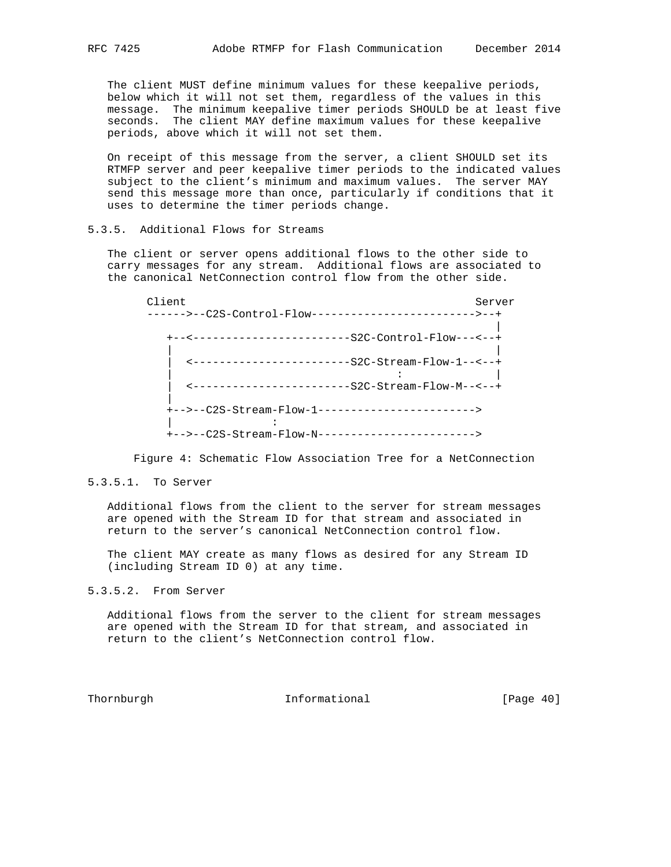The client MUST define minimum values for these keepalive periods, below which it will not set them, regardless of the values in this message. The minimum keepalive timer periods SHOULD be at least five seconds. The client MAY define maximum values for these keepalive periods, above which it will not set them.

 On receipt of this message from the server, a client SHOULD set its RTMFP server and peer keepalive timer periods to the indicated values subject to the client's minimum and maximum values. The server MAY send this message more than once, particularly if conditions that it uses to determine the timer periods change.

## 5.3.5. Additional Flows for Streams

 The client or server opens additional flows to the other side to carry messages for any stream. Additional flows are associated to the canonical NetConnection control flow from the other side.

Client Server Server Server Server Server Server Server Server Server Server Server Server Server Server Server ------>--C2S-Control-Flow------------------------->--+ | +--<------------------------S2C-Control-Flow---<--+ | | | <------------------------S2C-Stream-Flow-1--<--+ | : | | <------------------------S2C-Stream-Flow-M--<--+ | +-->--C2S-Stream-Flow-1------------------------> | : 100 minutes +-->--C2S-Stream-Flow-N------------------------>

Figure 4: Schematic Flow Association Tree for a NetConnection

#### 5.3.5.1. To Server

 Additional flows from the client to the server for stream messages are opened with the Stream ID for that stream and associated in return to the server's canonical NetConnection control flow.

 The client MAY create as many flows as desired for any Stream ID (including Stream ID 0) at any time.

5.3.5.2. From Server

 Additional flows from the server to the client for stream messages are opened with the Stream ID for that stream, and associated in return to the client's NetConnection control flow.

Thornburgh 1nformational [Page 40]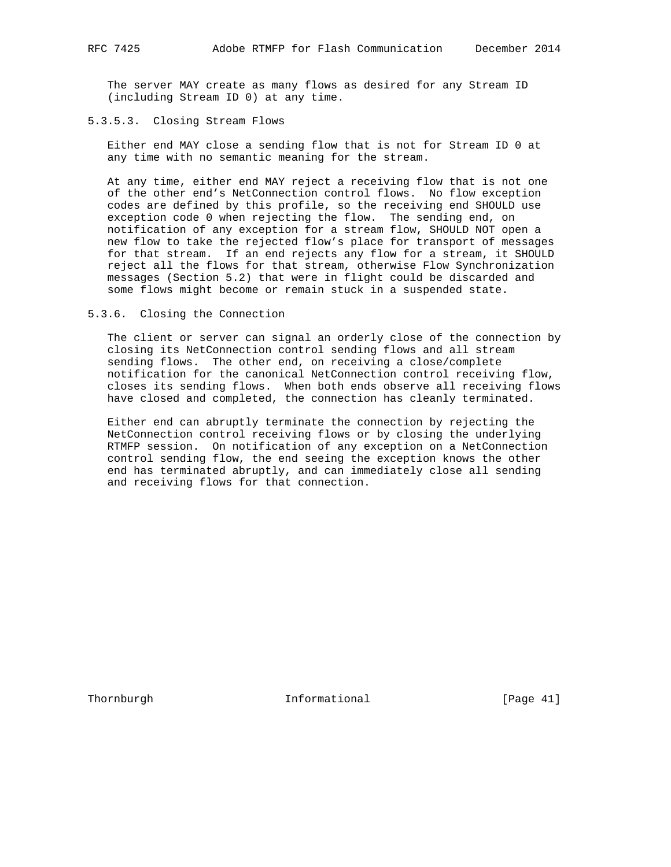The server MAY create as many flows as desired for any Stream ID (including Stream ID 0) at any time.

### 5.3.5.3. Closing Stream Flows

 Either end MAY close a sending flow that is not for Stream ID 0 at any time with no semantic meaning for the stream.

 At any time, either end MAY reject a receiving flow that is not one of the other end's NetConnection control flows. No flow exception codes are defined by this profile, so the receiving end SHOULD use exception code 0 when rejecting the flow. The sending end, on notification of any exception for a stream flow, SHOULD NOT open a new flow to take the rejected flow's place for transport of messages for that stream. If an end rejects any flow for a stream, it SHOULD reject all the flows for that stream, otherwise Flow Synchronization messages (Section 5.2) that were in flight could be discarded and some flows might become or remain stuck in a suspended state.

#### 5.3.6. Closing the Connection

 The client or server can signal an orderly close of the connection by closing its NetConnection control sending flows and all stream sending flows. The other end, on receiving a close/complete notification for the canonical NetConnection control receiving flow, closes its sending flows. When both ends observe all receiving flows have closed and completed, the connection has cleanly terminated.

 Either end can abruptly terminate the connection by rejecting the NetConnection control receiving flows or by closing the underlying RTMFP session. On notification of any exception on a NetConnection control sending flow, the end seeing the exception knows the other end has terminated abruptly, and can immediately close all sending and receiving flows for that connection.

Thornburgh **Informational** [Page 41]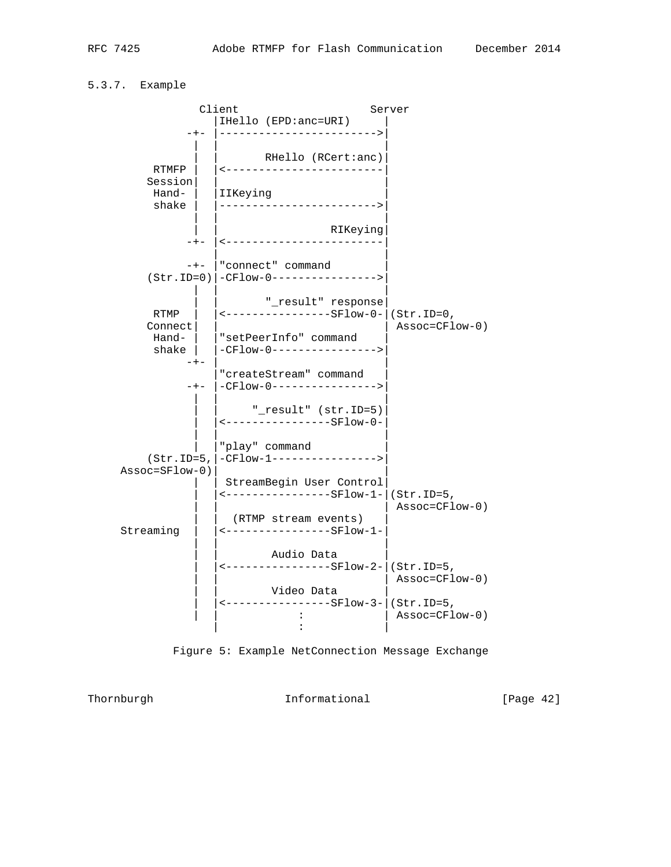# 5.3.7. Example





Thornburgh **Informational Informational** [Page 42]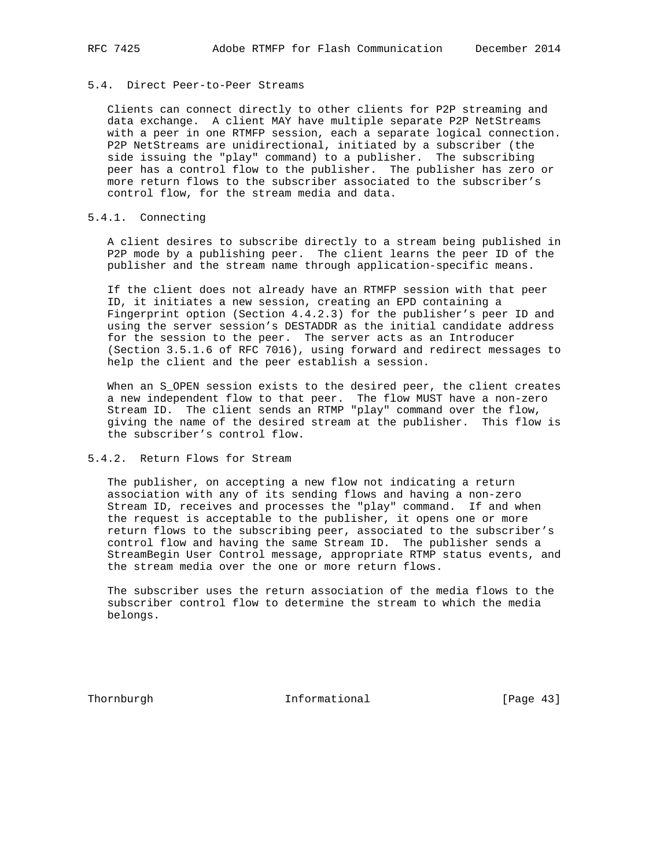#### 5.4. Direct Peer-to-Peer Streams

 Clients can connect directly to other clients for P2P streaming and data exchange. A client MAY have multiple separate P2P NetStreams with a peer in one RTMFP session, each a separate logical connection. P2P NetStreams are unidirectional, initiated by a subscriber (the side issuing the "play" command) to a publisher. The subscribing peer has a control flow to the publisher. The publisher has zero or more return flows to the subscriber associated to the subscriber's control flow, for the stream media and data.

## 5.4.1. Connecting

 A client desires to subscribe directly to a stream being published in P2P mode by a publishing peer. The client learns the peer ID of the publisher and the stream name through application-specific means.

 If the client does not already have an RTMFP session with that peer ID, it initiates a new session, creating an EPD containing a Fingerprint option (Section 4.4.2.3) for the publisher's peer ID and using the server session's DESTADDR as the initial candidate address for the session to the peer. The server acts as an Introducer (Section 3.5.1.6 of RFC 7016), using forward and redirect messages to help the client and the peer establish a session.

When an S\_OPEN session exists to the desired peer, the client creates a new independent flow to that peer. The flow MUST have a non-zero Stream ID. The client sends an RTMP "play" command over the flow, giving the name of the desired stream at the publisher. This flow is the subscriber's control flow.

#### 5.4.2. Return Flows for Stream

 The publisher, on accepting a new flow not indicating a return association with any of its sending flows and having a non-zero Stream ID, receives and processes the "play" command. If and when the request is acceptable to the publisher, it opens one or more return flows to the subscribing peer, associated to the subscriber's control flow and having the same Stream ID. The publisher sends a StreamBegin User Control message, appropriate RTMP status events, and the stream media over the one or more return flows.

 The subscriber uses the return association of the media flows to the subscriber control flow to determine the stream to which the media belongs.

Thornburgh 1nformational [Page 43]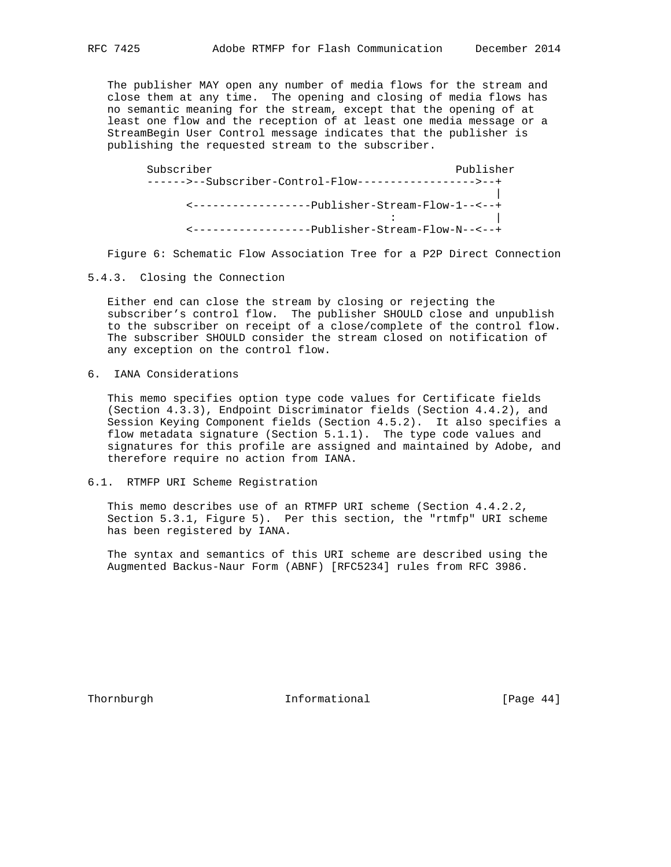The publisher MAY open any number of media flows for the stream and close them at any time. The opening and closing of media flows has no semantic meaning for the stream, except that the opening of at least one flow and the reception of at least one media message or a StreamBegin User Control message indicates that the publisher is publishing the requested stream to the subscriber.

Subscriber Publisher Publisher Publisher Publisher ------>--Subscriber-Control-Flow------------------>--+ | <------------------Publisher-Stream-Flow-1--<--+ : | <------------------Publisher-Stream-Flow-N--<--+

Figure 6: Schematic Flow Association Tree for a P2P Direct Connection

5.4.3. Closing the Connection

 Either end can close the stream by closing or rejecting the subscriber's control flow. The publisher SHOULD close and unpublish to the subscriber on receipt of a close/complete of the control flow. The subscriber SHOULD consider the stream closed on notification of any exception on the control flow.

6. IANA Considerations

 This memo specifies option type code values for Certificate fields (Section 4.3.3), Endpoint Discriminator fields (Section 4.4.2), and Session Keying Component fields (Section 4.5.2). It also specifies a flow metadata signature (Section 5.1.1). The type code values and signatures for this profile are assigned and maintained by Adobe, and therefore require no action from IANA.

#### 6.1. RTMFP URI Scheme Registration

 This memo describes use of an RTMFP URI scheme (Section 4.4.2.2, Section 5.3.1, Figure 5). Per this section, the "rtmfp" URI scheme has been registered by IANA.

 The syntax and semantics of this URI scheme are described using the Augmented Backus-Naur Form (ABNF) [RFC5234] rules from RFC 3986.

Thornburgh 1nformational [Page 44]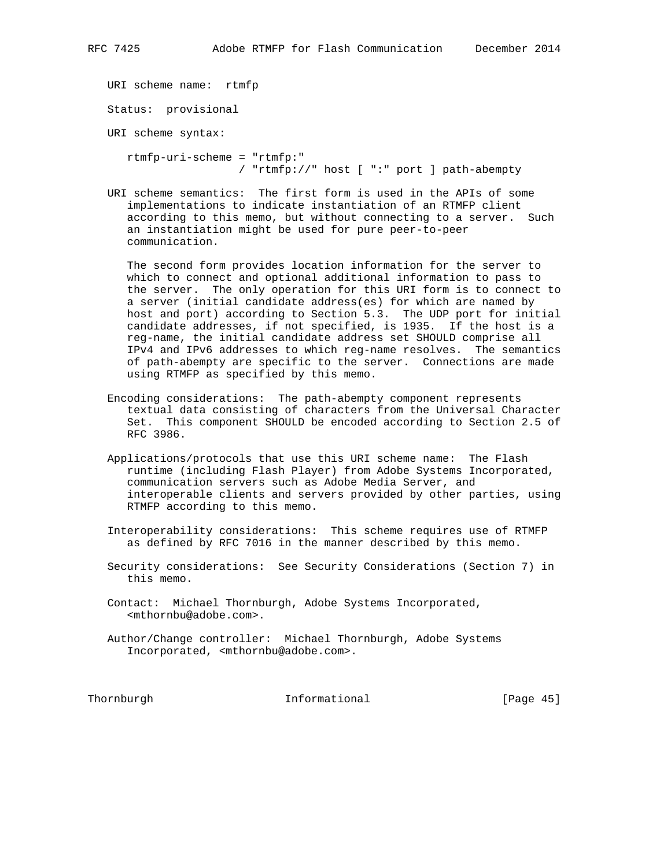URI scheme name: rtmfp

Status: provisional

URI scheme syntax:

 rtmfp-uri-scheme = "rtmfp:" / "rtmfp://" host [ ":" port ] path-abempty

 URI scheme semantics: The first form is used in the APIs of some implementations to indicate instantiation of an RTMFP client according to this memo, but without connecting to a server. Such an instantiation might be used for pure peer-to-peer communication.

 The second form provides location information for the server to which to connect and optional additional information to pass to the server. The only operation for this URI form is to connect to a server (initial candidate address(es) for which are named by host and port) according to Section 5.3. The UDP port for initial candidate addresses, if not specified, is 1935. If the host is a reg-name, the initial candidate address set SHOULD comprise all IPv4 and IPv6 addresses to which reg-name resolves. The semantics of path-abempty are specific to the server. Connections are made using RTMFP as specified by this memo.

- Encoding considerations: The path-abempty component represents textual data consisting of characters from the Universal Character Set. This component SHOULD be encoded according to Section 2.5 of RFC 3986.
- Applications/protocols that use this URI scheme name: The Flash runtime (including Flash Player) from Adobe Systems Incorporated, communication servers such as Adobe Media Server, and interoperable clients and servers provided by other parties, using RTMFP according to this memo.
- Interoperability considerations: This scheme requires use of RTMFP as defined by RFC 7016 in the manner described by this memo.
- Security considerations: See Security Considerations (Section 7) in this memo.
- Contact: Michael Thornburgh, Adobe Systems Incorporated, <mthornbu@adobe.com>.
- Author/Change controller: Michael Thornburgh, Adobe Systems Incorporated, <mthornbu@adobe.com>.

Thornburgh 1nformational [Page 45]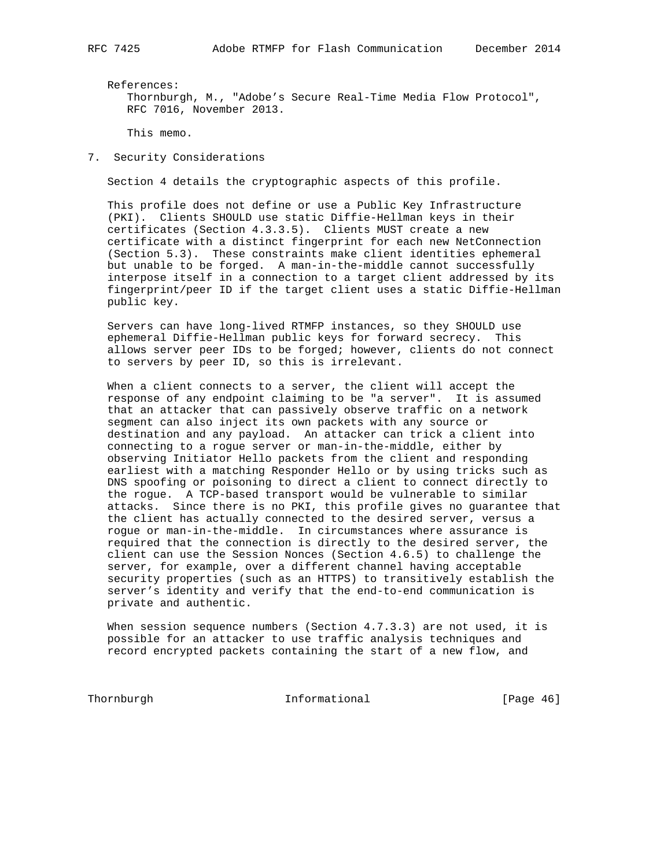References:

 Thornburgh, M., "Adobe's Secure Real-Time Media Flow Protocol", RFC 7016, November 2013.

This memo.

7. Security Considerations

Section 4 details the cryptographic aspects of this profile.

 This profile does not define or use a Public Key Infrastructure (PKI). Clients SHOULD use static Diffie-Hellman keys in their certificates (Section 4.3.3.5). Clients MUST create a new certificate with a distinct fingerprint for each new NetConnection (Section 5.3). These constraints make client identities ephemeral but unable to be forged. A man-in-the-middle cannot successfully interpose itself in a connection to a target client addressed by its fingerprint/peer ID if the target client uses a static Diffie-Hellman public key.

 Servers can have long-lived RTMFP instances, so they SHOULD use ephemeral Diffie-Hellman public keys for forward secrecy. This allows server peer IDs to be forged; however, clients do not connect to servers by peer ID, so this is irrelevant.

 When a client connects to a server, the client will accept the response of any endpoint claiming to be "a server". It is assumed that an attacker that can passively observe traffic on a network segment can also inject its own packets with any source or destination and any payload. An attacker can trick a client into connecting to a rogue server or man-in-the-middle, either by observing Initiator Hello packets from the client and responding earliest with a matching Responder Hello or by using tricks such as DNS spoofing or poisoning to direct a client to connect directly to the rogue. A TCP-based transport would be vulnerable to similar attacks. Since there is no PKI, this profile gives no guarantee that the client has actually connected to the desired server, versus a rogue or man-in-the-middle. In circumstances where assurance is required that the connection is directly to the desired server, the client can use the Session Nonces (Section 4.6.5) to challenge the server, for example, over a different channel having acceptable security properties (such as an HTTPS) to transitively establish the server's identity and verify that the end-to-end communication is private and authentic.

 When session sequence numbers (Section 4.7.3.3) are not used, it is possible for an attacker to use traffic analysis techniques and record encrypted packets containing the start of a new flow, and

Thornburgh 1nformational [Page 46]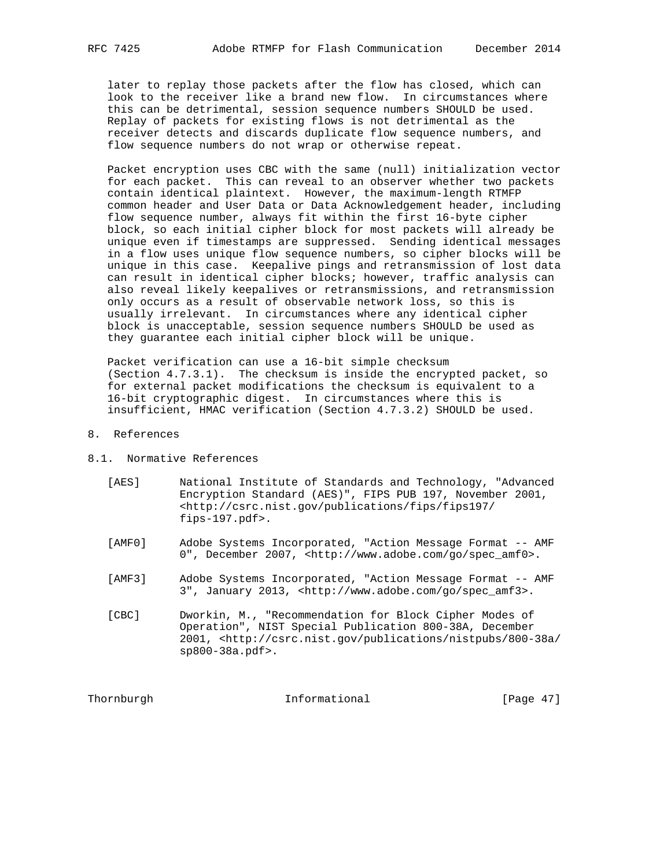later to replay those packets after the flow has closed, which can look to the receiver like a brand new flow. In circumstances where this can be detrimental, session sequence numbers SHOULD be used. Replay of packets for existing flows is not detrimental as the receiver detects and discards duplicate flow sequence numbers, and flow sequence numbers do not wrap or otherwise repeat.

 Packet encryption uses CBC with the same (null) initialization vector for each packet. This can reveal to an observer whether two packets contain identical plaintext. However, the maximum-length RTMFP common header and User Data or Data Acknowledgement header, including flow sequence number, always fit within the first 16-byte cipher block, so each initial cipher block for most packets will already be unique even if timestamps are suppressed. Sending identical messages in a flow uses unique flow sequence numbers, so cipher blocks will be unique in this case. Keepalive pings and retransmission of lost data can result in identical cipher blocks; however, traffic analysis can also reveal likely keepalives or retransmissions, and retransmission only occurs as a result of observable network loss, so this is usually irrelevant. In circumstances where any identical cipher block is unacceptable, session sequence numbers SHOULD be used as they guarantee each initial cipher block will be unique.

 Packet verification can use a 16-bit simple checksum (Section 4.7.3.1). The checksum is inside the encrypted packet, so for external packet modifications the checksum is equivalent to a 16-bit cryptographic digest. In circumstances where this is insufficient, HMAC verification (Section 4.7.3.2) SHOULD be used.

- 8. References
- 8.1. Normative References
	- [AES] National Institute of Standards and Technology, "Advanced Encryption Standard (AES)", FIPS PUB 197, November 2001, <http://csrc.nist.gov/publications/fips/fips197/ fips-197.pdf>.
	- [AMF0] Adobe Systems Incorporated, "Action Message Format -- AMF 0", December 2007, <http://www.adobe.com/go/spec\_amf0>.
	- [AMF3] Adobe Systems Incorporated, "Action Message Format -- AMF 3", January 2013, <http://www.adobe.com/go/spec\_amf3>.
	- [CBC] Dworkin, M., "Recommendation for Block Cipher Modes of Operation", NIST Special Publication 800-38A, December 2001, <http://csrc.nist.gov/publications/nistpubs/800-38a/ sp800-38a.pdf>.

Thornburgh **Informational Informational** [Page 47]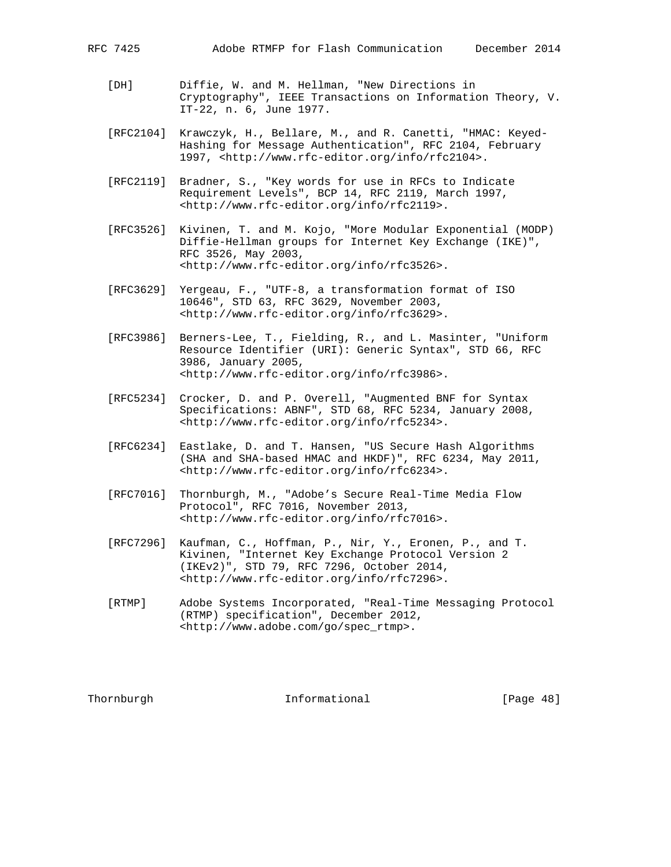- [DH] Diffie, W. and M. Hellman, "New Directions in Cryptography", IEEE Transactions on Information Theory, V. IT-22, n. 6, June 1977.
- [RFC2104] Krawczyk, H., Bellare, M., and R. Canetti, "HMAC: Keyed- Hashing for Message Authentication", RFC 2104, February 1997, <http://www.rfc-editor.org/info/rfc2104>.
- [RFC2119] Bradner, S., "Key words for use in RFCs to Indicate Requirement Levels", BCP 14, RFC 2119, March 1997, <http://www.rfc-editor.org/info/rfc2119>.
- [RFC3526] Kivinen, T. and M. Kojo, "More Modular Exponential (MODP) Diffie-Hellman groups for Internet Key Exchange (IKE)", RFC 3526, May 2003, <http://www.rfc-editor.org/info/rfc3526>.
- [RFC3629] Yergeau, F., "UTF-8, a transformation format of ISO 10646", STD 63, RFC 3629, November 2003, <http://www.rfc-editor.org/info/rfc3629>.
- [RFC3986] Berners-Lee, T., Fielding, R., and L. Masinter, "Uniform Resource Identifier (URI): Generic Syntax", STD 66, RFC 3986, January 2005, <http://www.rfc-editor.org/info/rfc3986>.
- [RFC5234] Crocker, D. and P. Overell, "Augmented BNF for Syntax Specifications: ABNF", STD 68, RFC 5234, January 2008, <http://www.rfc-editor.org/info/rfc5234>.
- [RFC6234] Eastlake, D. and T. Hansen, "US Secure Hash Algorithms (SHA and SHA-based HMAC and HKDF)", RFC 6234, May 2011, <http://www.rfc-editor.org/info/rfc6234>.
- [RFC7016] Thornburgh, M., "Adobe's Secure Real-Time Media Flow Protocol", RFC 7016, November 2013, <http://www.rfc-editor.org/info/rfc7016>.
- [RFC7296] Kaufman, C., Hoffman, P., Nir, Y., Eronen, P., and T. Kivinen, "Internet Key Exchange Protocol Version 2 (IKEv2)", STD 79, RFC 7296, October 2014, <http://www.rfc-editor.org/info/rfc7296>.
- [RTMP] Adobe Systems Incorporated, "Real-Time Messaging Protocol (RTMP) specification", December 2012, <http://www.adobe.com/go/spec\_rtmp>.

Thornburgh 101 Informational 11 [Page 48]